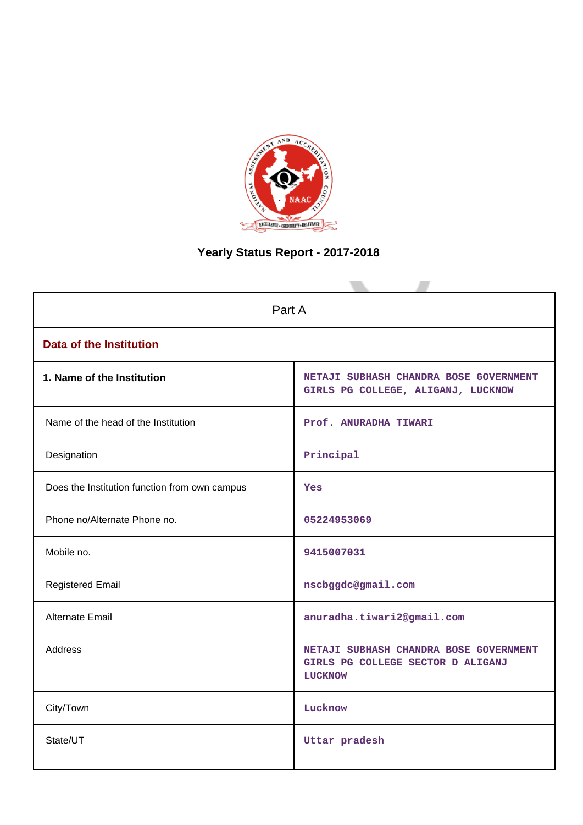

# **Yearly Status Report - 2017-2018**

|                                               | Part A                                                                                        |  |  |  |  |
|-----------------------------------------------|-----------------------------------------------------------------------------------------------|--|--|--|--|
| <b>Data of the Institution</b>                |                                                                                               |  |  |  |  |
| 1. Name of the Institution                    | NETAJI SUBHASH CHANDRA BOSE GOVERNMENT<br>GIRLS PG COLLEGE, ALIGANJ, LUCKNOW                  |  |  |  |  |
| Name of the head of the Institution           | Prof. ANURADHA TIWARI                                                                         |  |  |  |  |
| Designation                                   | Principal                                                                                     |  |  |  |  |
| Does the Institution function from own campus | Yes                                                                                           |  |  |  |  |
| Phone no/Alternate Phone no.                  | 05224953069                                                                                   |  |  |  |  |
| Mobile no.                                    | 9415007031                                                                                    |  |  |  |  |
| <b>Registered Email</b>                       | nscbggdc@gmail.com                                                                            |  |  |  |  |
| Alternate Email                               | anuradha.tiwari2@gmail.com                                                                    |  |  |  |  |
| <b>Address</b>                                | NETAJI SUBHASH CHANDRA BOSE GOVERNMENT<br>GIRLS PG COLLEGE SECTOR D ALIGANJ<br><b>LUCKNOW</b> |  |  |  |  |
| City/Town                                     | Lucknow                                                                                       |  |  |  |  |
| State/UT                                      | Uttar pradesh                                                                                 |  |  |  |  |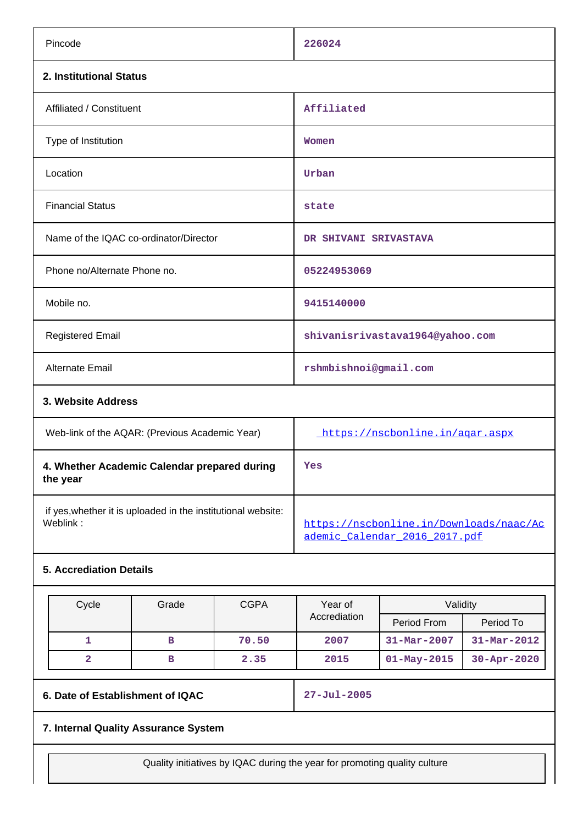| Pincode                                | 226024                          |  |  |  |  |
|----------------------------------------|---------------------------------|--|--|--|--|
| 2. Institutional Status                |                                 |  |  |  |  |
| Affiliated / Constituent               | Affiliated                      |  |  |  |  |
| Type of Institution                    | Women                           |  |  |  |  |
| Location                               | Urban                           |  |  |  |  |
| <b>Financial Status</b>                | state                           |  |  |  |  |
| Name of the IQAC co-ordinator/Director | DR SHIVANI SRIVASTAVA           |  |  |  |  |
| Phone no/Alternate Phone no.           | 05224953069                     |  |  |  |  |
| Mobile no.                             | 9415140000                      |  |  |  |  |
| <b>Registered Email</b>                | shivanisrivastava1964@yahoo.com |  |  |  |  |
| Alternate Email                        | rshmbishnoi@gmail.com           |  |  |  |  |
| 3. Website Address                     |                                 |  |  |  |  |

| Web-link of the AQAR: (Previous Academic Year)                           | https://nscbonline.in/agar.aspx                                          |
|--------------------------------------------------------------------------|--------------------------------------------------------------------------|
| 4. Whether Academic Calendar prepared during<br>the year                 | Yes                                                                      |
| if yes, whether it is uploaded in the institutional website:<br>Weblink: | https://nscbonline.in/Downloads/naac/Ac<br>ademic Calendar 2016 2017.pdf |

## **5. Accrediation Details**

| Cycle | Grade | <b>CGPA</b> | Year of      | Validity                 |                          |
|-------|-------|-------------|--------------|--------------------------|--------------------------|
|       |       |             | Accrediation | Period From              | Period To                |
|       | в     | 70.50       | 2007         | $31 - \text{Mar} - 2007$ | $31 - \text{Mar} - 2012$ |
|       | в     | 2.35        | 2015         | $01 - May - 2015$        | $30 - Apr - 2020$        |

**6. Date of Establishment of IQAC 27-Jul-2005**

## **7. Internal Quality Assurance System**

Quality initiatives by IQAC during the year for promoting quality culture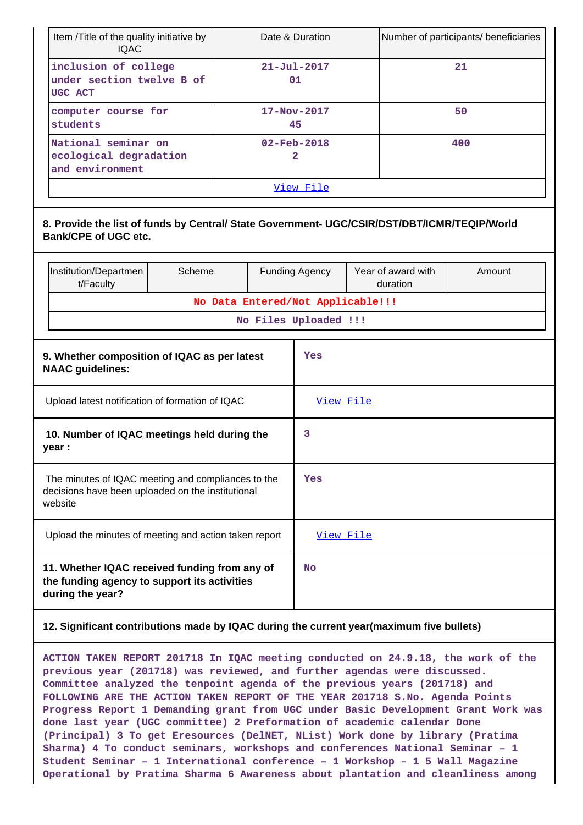| Item /Title of the quality initiative by<br><b>IOAC</b>                                                                     |        |                                                   | Date & Duration                   |    |                    | Number of participants/ beneficiaries |
|-----------------------------------------------------------------------------------------------------------------------------|--------|---------------------------------------------------|-----------------------------------|----|--------------------|---------------------------------------|
| inclusion of college<br>under section twelve B of<br>UGC ACT                                                                |        | $21 - Ju1 - 2017$<br>01                           |                                   | 21 |                    |                                       |
| computer course for<br>students                                                                                             |        |                                                   | $17 - Nov - 2017$<br>45           |    |                    | 50                                    |
| National seminar on<br>ecological degradation<br>and environment                                                            |        |                                                   | $02 - Feb - 2018$<br>$\mathbf{2}$ |    |                    | 400                                   |
|                                                                                                                             |        |                                                   | View File                         |    |                    |                                       |
| 8. Provide the list of funds by Central/ State Government- UGC/CSIR/DST/DBT/ICMR/TEQIP/World<br><b>Bank/CPE of UGC etc.</b> |        |                                                   |                                   |    | Year of award with |                                       |
| Institution/Departmen<br>t/Faculty                                                                                          | Scheme |                                                   | <b>Funding Agency</b>             |    | duration           | Amount                                |
|                                                                                                                             |        | No Data Entered/Not Applicable!!!                 |                                   |    |                    |                                       |
|                                                                                                                             |        |                                                   | No Files Uploaded !!!             |    |                    |                                       |
| 9. Whether composition of IQAC as per latest<br><b>NAAC</b> guidelines:                                                     |        |                                                   | Yes                               |    |                    |                                       |
| Upload latest notification of formation of IQAC                                                                             |        |                                                   | View File                         |    |                    |                                       |
| 10. Number of IQAC meetings held during the<br>year :                                                                       |        |                                                   | 3                                 |    |                    |                                       |
| The minutes of IQAC meeting and compliances to the<br>decisions have been uploaded on the institutional<br>website          |        |                                                   | Yes                               |    |                    |                                       |
| Upload the minutes of meeting and action taken report                                                                       |        |                                                   | <u>View File</u>                  |    |                    |                                       |
| 11. Whether IQAC received funding from any of<br>the funding agency to support its activities<br>during the year?           |        |                                                   | No                                |    |                    |                                       |
| 12. Significant contributions made by IQAC during the current year(maximum five bullets)                                    |        |                                                   |                                   |    |                    |                                       |
| חסמסס                                                                                                                       |        | $201718$ In $T02C$ meeting conducted on $24$ 9 18 |                                   |    |                    | the work of the                       |

**ACTION TAKEN REPORT 201718 In IQAC meeting conducted on 24.9.18, the work of the previous year (201718) was reviewed, and further agendas were discussed. Committee analyzed the tenpoint agenda of the previous years (201718) and FOLLOWING ARE THE ACTION TAKEN REPORT OF THE YEAR 201718 S.No. Agenda Points Progress Report 1 Demanding grant from UGC under Basic Development Grant Work was done last year (UGC committee) 2 Preformation of academic calendar Done (Principal) 3 To get Eresources (DelNET, NList) Work done by library (Pratima Sharma) 4 To conduct seminars, workshops and conferences National Seminar – 1 Student Seminar – 1 International conference – 1 Workshop – 1 5 Wall Magazine Operational by Pratima Sharma 6 Awareness about plantation and cleanliness among**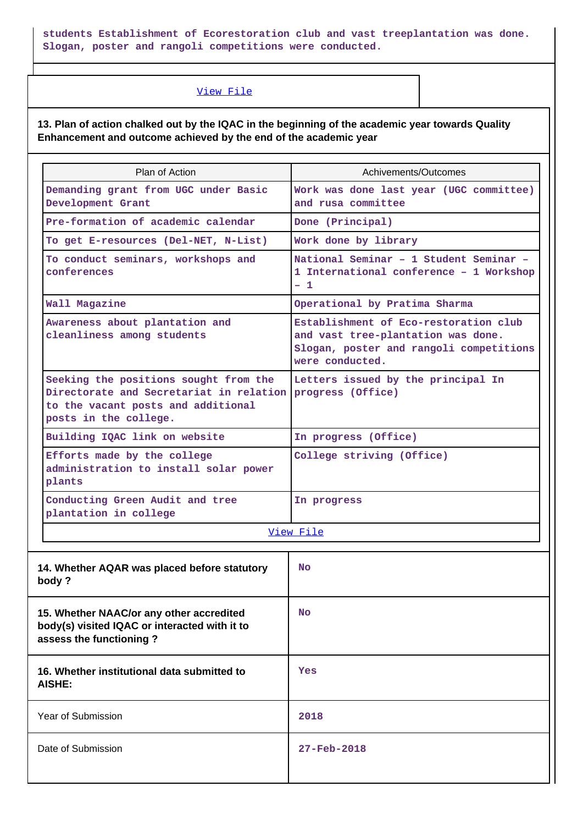**students Establishment of Ecorestoration club and vast treeplantation was done. Slogan, poster and rangoli competitions were conducted.**

### [View File](https://assessmentonline.naac.gov.in/public/Postacc/Contribution/7513_Contribution.xlsx)

**13. Plan of action chalked out by the IQAC in the beginning of the academic year towards Quality Enhancement and outcome achieved by the end of the academic year**

| Plan of Action                                                                                                                                                    | Achivements/Outcomes                                                                                                                      |  |  |
|-------------------------------------------------------------------------------------------------------------------------------------------------------------------|-------------------------------------------------------------------------------------------------------------------------------------------|--|--|
| Demanding grant from UGC under Basic<br>Development Grant                                                                                                         | Work was done last year (UGC committee)<br>and rusa committee                                                                             |  |  |
| Pre-formation of academic calendar                                                                                                                                | Done (Principal)                                                                                                                          |  |  |
| To get E-resources (Del-NET, N-List)                                                                                                                              | Work done by library                                                                                                                      |  |  |
| To conduct seminars, workshops and<br>conferences                                                                                                                 | National Seminar - 1 Student Seminar -<br>1 International conference - 1 Workshop<br>$-1$                                                 |  |  |
| Wall Magazine                                                                                                                                                     | Operational by Pratima Sharma                                                                                                             |  |  |
| Awareness about plantation and<br>cleanliness among students                                                                                                      | Establishment of Eco-restoration club<br>and vast tree-plantation was done.<br>Slogan, poster and rangoli competitions<br>were conducted. |  |  |
| Seeking the positions sought from the<br>Directorate and Secretariat in relation progress (Office)<br>to the vacant posts and additional<br>posts in the college. | Letters issued by the principal In                                                                                                        |  |  |
| Building IQAC link on website                                                                                                                                     | In progress (Office)                                                                                                                      |  |  |
| Efforts made by the college<br>administration to install solar power<br>plants                                                                                    | College striving (Office)                                                                                                                 |  |  |
| Conducting Green Audit and tree<br>plantation in college                                                                                                          | In progress                                                                                                                               |  |  |
|                                                                                                                                                                   | View File                                                                                                                                 |  |  |
| 14. Whether AQAR was placed before statutory<br>body ?                                                                                                            | No.                                                                                                                                       |  |  |
| 15. Whether NAAC/or any other accredited<br>body(s) visited IQAC or interacted with it to<br>assess the functioning?                                              | No                                                                                                                                        |  |  |
| 16. Whether institutional data submitted to<br><b>AISHE:</b>                                                                                                      | Yes                                                                                                                                       |  |  |
| Year of Submission                                                                                                                                                | 2018                                                                                                                                      |  |  |
| Date of Submission                                                                                                                                                | $27 - Feb - 2018$                                                                                                                         |  |  |
|                                                                                                                                                                   |                                                                                                                                           |  |  |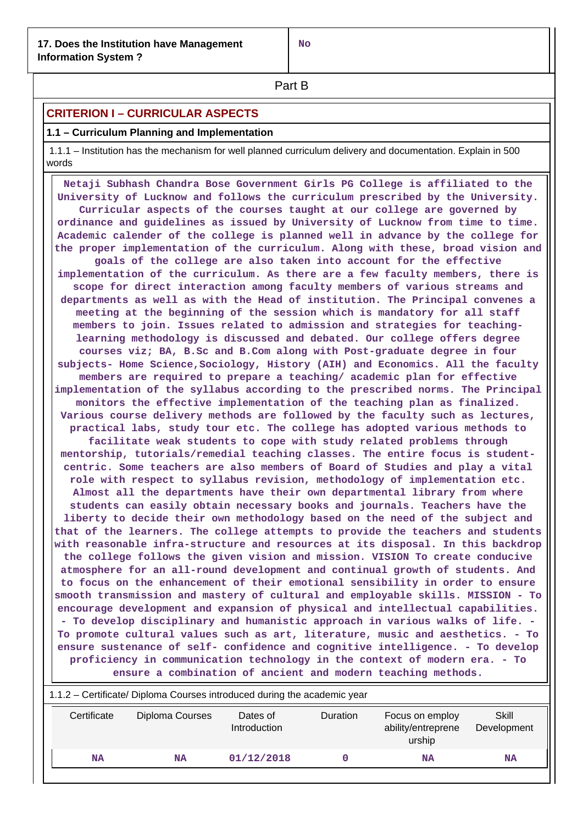**Part B** 

## **CRITERION I – CURRICULAR ASPECTS**

## **1.1 – Curriculum Planning and Implementation**

 1.1.1 – Institution has the mechanism for well planned curriculum delivery and documentation. Explain in 500 words

 **Netaji Subhash Chandra Bose Government Girls PG College is affiliated to the University of Lucknow and follows the curriculum prescribed by the University. Curricular aspects of the courses taught at our college are governed by ordinance and guidelines as issued by University of Lucknow from time to time. Academic calender of the college is planned well in advance by the college for the proper implementation of the curriculum. Along with these, broad vision and goals of the college are also taken into account for the effective implementation of the curriculum. As there are a few faculty members, there is scope for direct interaction among faculty members of various streams and departments as well as with the Head of institution. The Principal convenes a meeting at the beginning of the session which is mandatory for all staff members to join. Issues related to admission and strategies for teachinglearning methodology is discussed and debated. Our college offers degree courses viz; BA, B.Sc and B.Com along with Post-graduate degree in four subjects- Home Science,Sociology, History (AIH) and Economics. All the faculty members are required to prepare a teaching/ academic plan for effective implementation of the syllabus according to the prescribed norms. The Principal monitors the effective implementation of the teaching plan as finalized. Various course delivery methods are followed by the faculty such as lectures, practical labs, study tour etc. The college has adopted various methods to facilitate weak students to cope with study related problems through mentorship, tutorials/remedial teaching classes. The entire focus is studentcentric. Some teachers are also members of Board of Studies and play a vital role with respect to syllabus revision, methodology of implementation etc. Almost all the departments have their own departmental library from where students can easily obtain necessary books and journals. Teachers have the liberty to decide their own methodology based on the need of the subject and that of the learners. The college attempts to provide the teachers and students with reasonable infra-structure and resources at its disposal. In this backdrop the college follows the given vision and mission. VISION To create conducive atmosphere for an all-round development and continual growth of students. And to focus on the enhancement of their emotional sensibility in order to ensure smooth transmission and mastery of cultural and employable skills. MISSION - To encourage development and expansion of physical and intellectual capabilities. - To develop disciplinary and humanistic approach in various walks of life. - To promote cultural values such as art, literature, music and aesthetics. - To ensure sustenance of self- confidence and cognitive intelligence. - To develop proficiency in communication technology in the context of modern era. - To ensure a combination of ancient and modern teaching methods.**

| 1.1.2 – Certificate/ Diploma Courses introduced during the academic year |                 |                          |                 |                                                 |                      |  |  |
|--------------------------------------------------------------------------|-----------------|--------------------------|-----------------|-------------------------------------------------|----------------------|--|--|
| Certificate                                                              | Diploma Courses | Dates of<br>Introduction | <b>Duration</b> | Focus on employ<br>ability/entreprene<br>urship | Skill<br>Development |  |  |
| NA                                                                       | NA              | 01/12/2018               |                 | NA                                              | <b>NA</b>            |  |  |
|                                                                          |                 |                          |                 |                                                 |                      |  |  |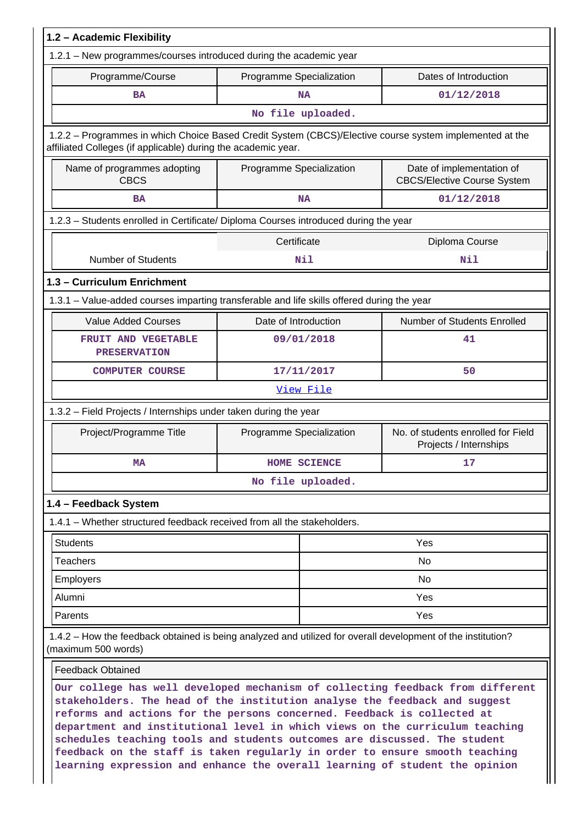| 1.2 - Academic Flexibility                                                                                                                                                                                                              |                          |                                                                 |  |  |  |  |
|-----------------------------------------------------------------------------------------------------------------------------------------------------------------------------------------------------------------------------------------|--------------------------|-----------------------------------------------------------------|--|--|--|--|
| 1.2.1 – New programmes/courses introduced during the academic year                                                                                                                                                                      |                          |                                                                 |  |  |  |  |
| Programme/Course                                                                                                                                                                                                                        | Programme Specialization | Dates of Introduction                                           |  |  |  |  |
| <b>BA</b>                                                                                                                                                                                                                               | <b>NA</b>                | 01/12/2018                                                      |  |  |  |  |
|                                                                                                                                                                                                                                         | No file uploaded.        |                                                                 |  |  |  |  |
| 1.2.2 - Programmes in which Choice Based Credit System (CBCS)/Elective course system implemented at the<br>affiliated Colleges (if applicable) during the academic year.                                                                |                          |                                                                 |  |  |  |  |
| Name of programmes adopting<br><b>CBCS</b>                                                                                                                                                                                              | Programme Specialization | Date of implementation of<br><b>CBCS/Elective Course System</b> |  |  |  |  |
| <b>BA</b>                                                                                                                                                                                                                               | <b>NA</b>                | 01/12/2018                                                      |  |  |  |  |
| 1.2.3 - Students enrolled in Certificate/ Diploma Courses introduced during the year                                                                                                                                                    |                          |                                                                 |  |  |  |  |
|                                                                                                                                                                                                                                         | Certificate              | Diploma Course                                                  |  |  |  |  |
| <b>Number of Students</b>                                                                                                                                                                                                               | <b>Nil</b>               | Nil                                                             |  |  |  |  |
| 1.3 - Curriculum Enrichment                                                                                                                                                                                                             |                          |                                                                 |  |  |  |  |
| 1.3.1 - Value-added courses imparting transferable and life skills offered during the year                                                                                                                                              |                          |                                                                 |  |  |  |  |
| <b>Value Added Courses</b>                                                                                                                                                                                                              | Date of Introduction     | Number of Students Enrolled                                     |  |  |  |  |
| FRUIT AND VEGETABLE<br><b>PRESERVATION</b>                                                                                                                                                                                              | 09/01/2018               | 41                                                              |  |  |  |  |
| <b>COMPUTER COURSE</b>                                                                                                                                                                                                                  | 17/11/2017               | 50                                                              |  |  |  |  |
|                                                                                                                                                                                                                                         | View File                |                                                                 |  |  |  |  |
| 1.3.2 - Field Projects / Internships under taken during the year                                                                                                                                                                        |                          |                                                                 |  |  |  |  |
| Project/Programme Title                                                                                                                                                                                                                 | Programme Specialization | No. of students enrolled for Field<br>Projects / Internships    |  |  |  |  |
| MA                                                                                                                                                                                                                                      | <b>HOME SCIENCE</b>      | 17                                                              |  |  |  |  |
|                                                                                                                                                                                                                                         | No file uploaded.        |                                                                 |  |  |  |  |
| 1.4 - Feedback System                                                                                                                                                                                                                   |                          |                                                                 |  |  |  |  |
| 1.4.1 – Whether structured feedback received from all the stakeholders.                                                                                                                                                                 |                          |                                                                 |  |  |  |  |
| <b>Students</b>                                                                                                                                                                                                                         |                          | Yes                                                             |  |  |  |  |
| <b>Teachers</b>                                                                                                                                                                                                                         |                          | No                                                              |  |  |  |  |
| <b>Employers</b>                                                                                                                                                                                                                        |                          | No                                                              |  |  |  |  |
| Alumni                                                                                                                                                                                                                                  |                          | Yes                                                             |  |  |  |  |
| Parents                                                                                                                                                                                                                                 |                          | Yes                                                             |  |  |  |  |
| 1.4.2 - How the feedback obtained is being analyzed and utilized for overall development of the institution?<br>(maximum 500 words)                                                                                                     |                          |                                                                 |  |  |  |  |
| <b>Feedback Obtained</b>                                                                                                                                                                                                                |                          |                                                                 |  |  |  |  |
| Our college has well developed mechanism of collecting feedback from different<br>stakeholders. The head of the institution analyse the feedback and suggest<br>reforms and actions for the persons concerned. Feedback is collected at |                          |                                                                 |  |  |  |  |

**department and institutional level in which views on the curriculum teaching schedules teaching tools and students outcomes are discussed. The student feedback on the staff is taken regularly in order to ensure smooth teaching learning expression and enhance the overall learning of student the opinion**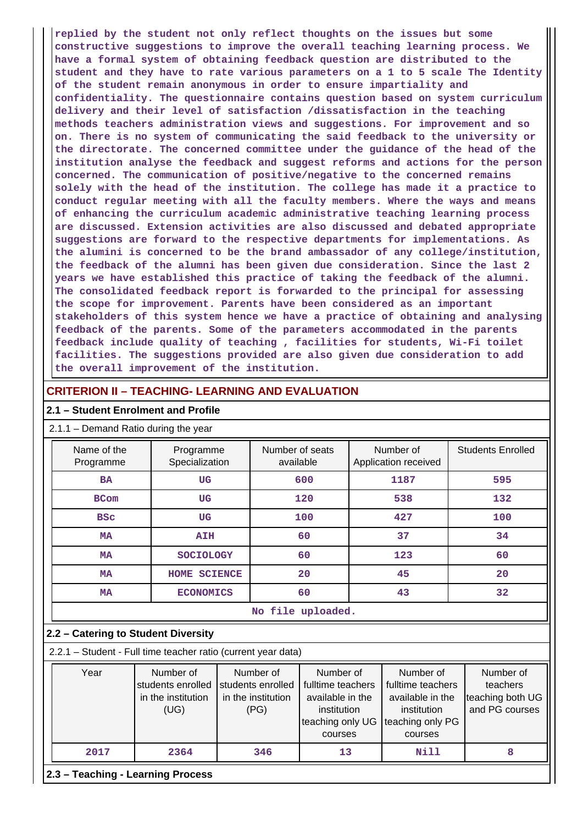**replied by the student not only reflect thoughts on the issues but some constructive suggestions to improve the overall teaching learning process. We have a formal system of obtaining feedback question are distributed to the student and they have to rate various parameters on a 1 to 5 scale The Identity of the student remain anonymous in order to ensure impartiality and confidentiality. The questionnaire contains question based on system curriculum delivery and their level of satisfaction /dissatisfaction in the teaching methods teachers administration views and suggestions. For improvement and so on. There is no system of communicating the said feedback to the university or the directorate. The concerned committee under the guidance of the head of the institution analyse the feedback and suggest reforms and actions for the person concerned. The communication of positive/negative to the concerned remains solely with the head of the institution. The college has made it a practice to conduct regular meeting with all the faculty members. Where the ways and means of enhancing the curriculum academic administrative teaching learning process are discussed. Extension activities are also discussed and debated appropriate suggestions are forward to the respective departments for implementations. As the alumini is concerned to be the brand ambassador of any college/institution, the feedback of the alumni has been given due consideration. Since the last 2 years we have established this practice of taking the feedback of the alumni. The consolidated feedback report is forwarded to the principal for assessing the scope for improvement. Parents have been considered as an important stakeholders of this system hence we have a practice of obtaining and analysing feedback of the parents. Some of the parameters accommodated in the parents feedback include quality of teaching , facilities for students, Wi-Fi toilet facilities. The suggestions provided are also given due consideration to add the overall improvement of the institution.**

## **CRITERION II – TEACHING- LEARNING AND EVALUATION**

#### **2.1 – Student Enrolment and Profile**

#### 2.1.1 – Demand Ratio during the year

| Name of the<br>Programme | Programme<br>Specialization | Number of seats<br>available | Number of<br>Application received | <b>Students Enrolled</b> |  |  |  |
|--------------------------|-----------------------------|------------------------------|-----------------------------------|--------------------------|--|--|--|
| <b>BA</b>                | <b>UG</b>                   | 600                          | 1187                              | 595                      |  |  |  |
| <b>BCom</b>              | <b>UG</b>                   | 120                          | 538                               | 132                      |  |  |  |
| <b>BSC</b>               | <b>UG</b>                   | 100                          | 427                               | 100                      |  |  |  |
| <b>MA</b>                | <b>AIH</b>                  | 60                           | 37                                | 34                       |  |  |  |
| <b>MA</b>                | <b>SOCIOLOGY</b>            | 60                           | 123                               | 60                       |  |  |  |
| <b>MA</b>                | <b>SCIENCE</b><br>HOME      | 20                           | 45                                | 20                       |  |  |  |
| <b>MA</b>                | <b>ECONOMICS</b>            | 60                           | 43                                | 32                       |  |  |  |
|                          | No file uploaded.           |                              |                                   |                          |  |  |  |

#### **2.2 – Catering to Student Diversity**

2.2.1 – Student - Full time teacher ratio (current year data)

| Year                              | Number of<br>students enrolled Students enrolled<br>in the institution<br>(UG) | Number of<br>in the institution<br>(PG) | Number of<br>fulltime teachers<br>available in the<br>institution<br>teaching only UG<br>courses | Number of<br>fulltime teachers<br>available in the<br>institution<br>teaching only PG<br>courses | Number of<br>teachers<br>teaching both UG<br>and PG courses |  |
|-----------------------------------|--------------------------------------------------------------------------------|-----------------------------------------|--------------------------------------------------------------------------------------------------|--------------------------------------------------------------------------------------------------|-------------------------------------------------------------|--|
| 2017                              | 2364                                                                           | 346                                     | 13                                                                                               | Nill                                                                                             |                                                             |  |
| 2.3 – Teaching - Learning Process |                                                                                |                                         |                                                                                                  |                                                                                                  |                                                             |  |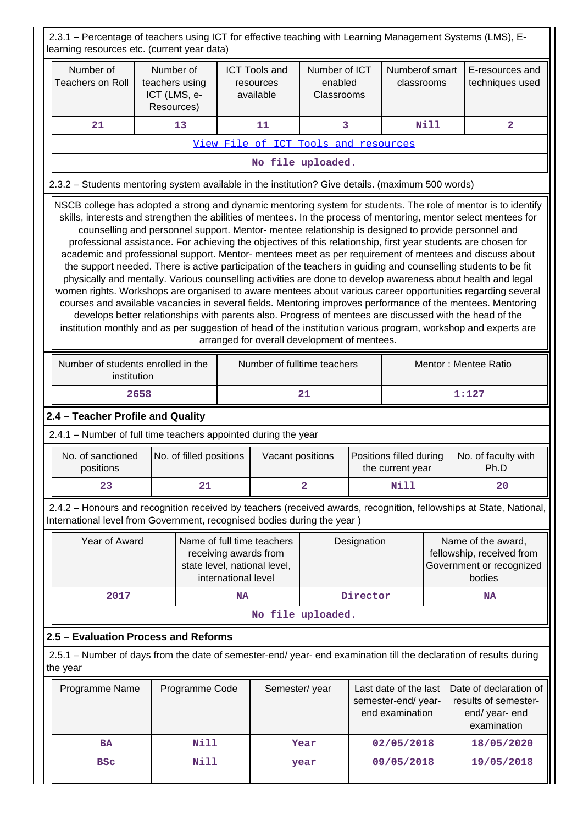2.3.1 – Percentage of teachers using ICT for effective teaching with Learning Management Systems (LMS), Elearning resources etc. (current year data) Number of Teachers on Roll Number of teachers using ICT (LMS, e-Resources) ICT Tools and resources available Number of ICT enabled Classrooms Numberof smart classrooms E-resources and techniques used  **21 13 11 3 Nill 2** [View File of ICT Tools and resources](https://assessmentonline.naac.gov.in/public/Postacc/ict_tools/7513_ict_tools_1603464412.xlsx) **No file uploaded.** 2.3.2 – Students mentoring system available in the institution? Give details. (maximum 500 words) NSCB college has adopted a strong and dynamic mentoring system for students. The role of mentor is to identify skills, interests and strengthen the abilities of mentees. In the process of mentoring, mentor select mentees for counselling and personnel support. Mentor- mentee relationship is designed to provide personnel and professional assistance. For achieving the objectives of this relationship, first year students are chosen for academic and professional support. Mentor- mentees meet as per requirement of mentees and discuss about the support needed. There is active participation of the teachers in guiding and counselling students to be fit physically and mentally. Various counselling activities are done to develop awareness about health and legal women rights. Workshops are organised to aware mentees about various career opportunities regarding several courses and available vacancies in several fields. Mentoring improves performance of the mentees. Mentoring develops better relationships with parents also. Progress of mentees are discussed with the head of the institution monthly and as per suggestion of head of the institution various program, workshop and experts are arranged for overall development of mentees. Number of students enrolled in the institution Number of fulltime teachers Mentor : Mentee Ratio **2658** 21 1:127 **2.4 – Teacher Profile and Quality** 2.4.1 – Number of full time teachers appointed during the year No. of sanctioned positions No. of filled positions | Vacant positions | Positions filled during the current year No. of faculty with Ph.D **23 | 21 | 2** | Nill | 20 2.4.2 – Honours and recognition received by teachers (received awards, recognition, fellowships at State, National, International level from Government, recognised bodies during the year ) Year of Award | Name of full time teachers receiving awards from state level, national level, international level Designation | Name of the award, fellowship, received from Government or recognized bodies  **2017 NA Director NA No file uploaded. 2.5 – Evaluation Process and Reforms** 2.5.1 – Number of days from the date of semester-end/ year- end examination till the declaration of results during the year Programme Name | Programme Code | Semester/ year | Last date of the last semester-end/ yearend examination Date of declaration of results of semesterend/ year- end examination  **BA Nill Year 02/05/2018 18/05/2020 BSc Nill year 09/05/2018 19/05/2018**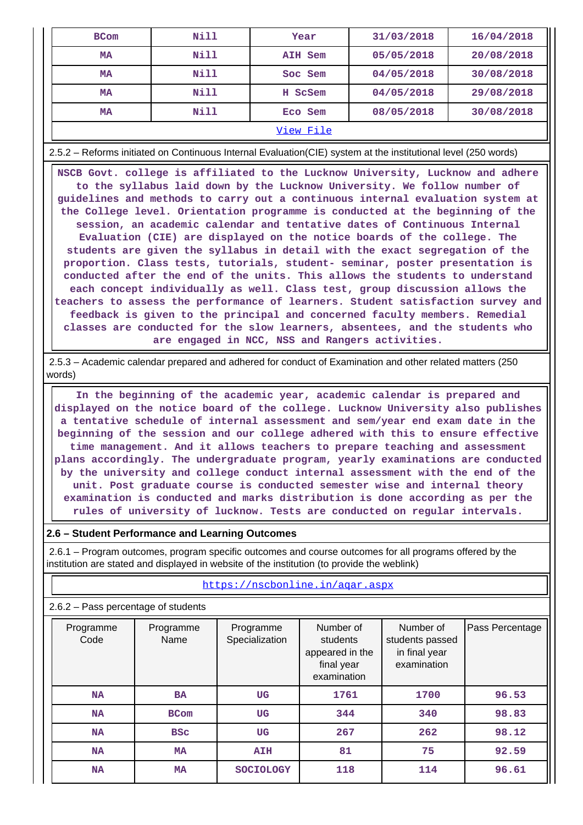| <b>BCom</b> | Nill | Year    | 31/03/2018 | 16/04/2018 |  |  |
|-------------|------|---------|------------|------------|--|--|
| MA          | Nill | AIH Sem | 05/05/2018 | 20/08/2018 |  |  |
| <b>MA</b>   | Nill | Soc Sem | 04/05/2018 | 30/08/2018 |  |  |
| <b>MA</b>   | Nill | H ScSem | 04/05/2018 | 29/08/2018 |  |  |
| <b>MA</b>   | Nill | Eco Sem | 08/05/2018 | 30/08/2018 |  |  |
| View File   |      |         |            |            |  |  |

2.5.2 – Reforms initiated on Continuous Internal Evaluation(CIE) system at the institutional level (250 words)

 **NSCB Govt. college is affiliated to the Lucknow University, Lucknow and adhere to the syllabus laid down by the Lucknow University. We follow number of guidelines and methods to carry out a continuous internal evaluation system at the College level. Orientation programme is conducted at the beginning of the session, an academic calendar and tentative dates of Continuous Internal Evaluation (CIE) are displayed on the notice boards of the college. The students are given the syllabus in detail with the exact segregation of the proportion. Class tests, tutorials, student- seminar, poster presentation is conducted after the end of the units. This allows the students to understand each concept individually as well. Class test, group discussion allows the teachers to assess the performance of learners. Student satisfaction survey and feedback is given to the principal and concerned faculty members. Remedial classes are conducted for the slow learners, absentees, and the students who are engaged in NCC, NSS and Rangers activities.**

 2.5.3 – Academic calendar prepared and adhered for conduct of Examination and other related matters (250 words)

 **In the beginning of the academic year, academic calendar is prepared and displayed on the notice board of the college. Lucknow University also publishes a tentative schedule of internal assessment and sem/year end exam date in the beginning of the session and our college adhered with this to ensure effective time management. And it allows teachers to prepare teaching and assessment plans accordingly. The undergraduate program, yearly examinations are conducted by the university and college conduct internal assessment with the end of the unit. Post graduate course is conducted semester wise and internal theory examination is conducted and marks distribution is done according as per the rules of university of lucknow. Tests are conducted on regular intervals.**

#### **2.6 – Student Performance and Learning Outcomes**

 2.6.1 – Program outcomes, program specific outcomes and course outcomes for all programs offered by the institution are stated and displayed in website of the institution (to provide the weblink)

| $2.6.2$ – Pass percentage of students |                   |                             |                                                                       |                                                              |                 |  |  |
|---------------------------------------|-------------------|-----------------------------|-----------------------------------------------------------------------|--------------------------------------------------------------|-----------------|--|--|
| Programme<br>Code                     | Programme<br>Name | Programme<br>Specialization | Number of<br>students<br>appeared in the<br>final year<br>examination | Number of<br>students passed<br>in final year<br>examination | Pass Percentage |  |  |
| <b>NA</b>                             | <b>BA</b>         | UG                          | 1761                                                                  | 1700                                                         | 96.53           |  |  |
| <b>NA</b>                             | <b>BCom</b>       | UG                          | 344                                                                   | 340                                                          | 98.83           |  |  |
| <b>NA</b>                             | <b>BSC</b>        | UG                          | 267                                                                   | 262                                                          | 98.12           |  |  |
| <b>NA</b>                             | <b>MA</b>         | <b>AIH</b>                  | 81                                                                    | 75                                                           | 92.59           |  |  |
| <b>NA</b>                             | <b>MA</b>         | <b>SOCIOLOGY</b>            | 118                                                                   | 114                                                          | 96.61           |  |  |

<https://nscbonline.in/aqar.aspx>

#### 2.6.2 – Pass percentage of students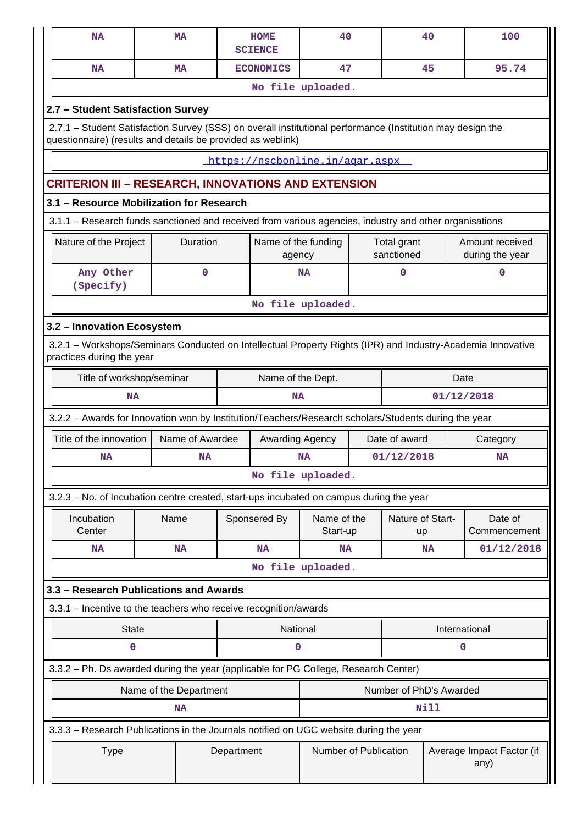|                   | <b>NA</b>                                                                                                                                                                 | MA                     |  | <b>HOME</b><br><b>SCIENCE</b> | 40                                                         |                           |                         | 40            | 100                                |  |
|-------------------|---------------------------------------------------------------------------------------------------------------------------------------------------------------------------|------------------------|--|-------------------------------|------------------------------------------------------------|---------------------------|-------------------------|---------------|------------------------------------|--|
|                   | <b>NA</b>                                                                                                                                                                 | <b>MA</b>              |  | <b>ECONOMICS</b>              | 47                                                         |                           |                         | 45            | 95.74                              |  |
|                   |                                                                                                                                                                           |                        |  |                               | No file uploaded.                                          |                           |                         |               |                                    |  |
|                   | 2.7 - Student Satisfaction Survey                                                                                                                                         |                        |  |                               |                                                            |                           |                         |               |                                    |  |
|                   | 2.7.1 - Student Satisfaction Survey (SSS) on overall institutional performance (Institution may design the<br>questionnaire) (results and details be provided as weblink) |                        |  |                               |                                                            |                           |                         |               |                                    |  |
|                   | https://nscbonline.in/agar.aspx                                                                                                                                           |                        |  |                               |                                                            |                           |                         |               |                                    |  |
|                   | <b>CRITERION III - RESEARCH, INNOVATIONS AND EXTENSION</b>                                                                                                                |                        |  |                               |                                                            |                           |                         |               |                                    |  |
|                   | 3.1 - Resource Mobilization for Research                                                                                                                                  |                        |  |                               |                                                            |                           |                         |               |                                    |  |
|                   | 3.1.1 - Research funds sanctioned and received from various agencies, industry and other organisations                                                                    |                        |  |                               |                                                            |                           |                         |               |                                    |  |
|                   | Nature of the Project                                                                                                                                                     | Duration               |  | Name of the funding<br>agency |                                                            | Total grant<br>sanctioned |                         |               | Amount received<br>during the year |  |
|                   | Any Other<br>(Specify)                                                                                                                                                    | 0                      |  |                               | <b>NA</b>                                                  |                           | 0                       |               | 0                                  |  |
| No file uploaded. |                                                                                                                                                                           |                        |  |                               |                                                            |                           |                         |               |                                    |  |
|                   | 3.2 - Innovation Ecosystem                                                                                                                                                |                        |  |                               |                                                            |                           |                         |               |                                    |  |
|                   | 3.2.1 - Workshops/Seminars Conducted on Intellectual Property Rights (IPR) and Industry-Academia Innovative<br>practices during the year                                  |                        |  |                               |                                                            |                           |                         |               |                                    |  |
|                   | Title of workshop/seminar                                                                                                                                                 |                        |  |                               | Name of the Dept.                                          |                           |                         | Date          |                                    |  |
|                   | <b>NA</b>                                                                                                                                                                 |                        |  |                               | 01/12/2018<br><b>NA</b>                                    |                           |                         |               |                                    |  |
|                   | 3.2.2 - Awards for Innovation won by Institution/Teachers/Research scholars/Students during the year                                                                      |                        |  |                               |                                                            |                           |                         |               |                                    |  |
|                   | Title of the innovation                                                                                                                                                   | Name of Awardee        |  |                               | Date of award<br>Awarding Agency                           |                           |                         |               | Category                           |  |
|                   | <b>NA</b>                                                                                                                                                                 | <b>NA</b>              |  | 01/12/2018<br><b>NA</b>       |                                                            |                           |                         | <b>NA</b>     |                                    |  |
|                   |                                                                                                                                                                           |                        |  |                               | No file uploaded.                                          |                           |                         |               |                                    |  |
|                   | 3.2.3 - No. of Incubation centre created, start-ups incubated on campus during the year                                                                                   |                        |  |                               |                                                            |                           |                         |               |                                    |  |
|                   | Incubation<br>Center                                                                                                                                                      | Name                   |  | Sponsered By                  | Name of the<br>Start-up                                    |                           | Nature of Start-        |               | Date of<br>Commencement            |  |
|                   | <b>NA</b>                                                                                                                                                                 | <b>NA</b>              |  | <b>NA</b>                     | <b>NA</b>                                                  |                           | up                      | NA            | 01/12/2018                         |  |
|                   |                                                                                                                                                                           |                        |  |                               | No file uploaded.                                          |                           |                         |               |                                    |  |
|                   | 3.3 - Research Publications and Awards                                                                                                                                    |                        |  |                               |                                                            |                           |                         |               |                                    |  |
|                   | 3.3.1 - Incentive to the teachers who receive recognition/awards                                                                                                          |                        |  |                               |                                                            |                           |                         |               |                                    |  |
|                   | <b>State</b>                                                                                                                                                              |                        |  | National                      |                                                            |                           |                         | International |                                    |  |
|                   | 0                                                                                                                                                                         |                        |  | 0                             |                                                            |                           |                         |               | 0                                  |  |
|                   | 3.3.2 - Ph. Ds awarded during the year (applicable for PG College, Research Center)                                                                                       |                        |  |                               |                                                            |                           |                         |               |                                    |  |
|                   |                                                                                                                                                                           | Name of the Department |  |                               |                                                            |                           | Number of PhD's Awarded |               |                                    |  |
|                   |                                                                                                                                                                           | <b>NA</b>              |  |                               |                                                            |                           |                         | <b>Nill</b>   |                                    |  |
|                   | 3.3.3 - Research Publications in the Journals notified on UGC website during the year                                                                                     |                        |  |                               |                                                            |                           |                         |               |                                    |  |
|                   | Department<br><b>Type</b>                                                                                                                                                 |                        |  |                               | Number of Publication<br>Average Impact Factor (if<br>any) |                           |                         |               |                                    |  |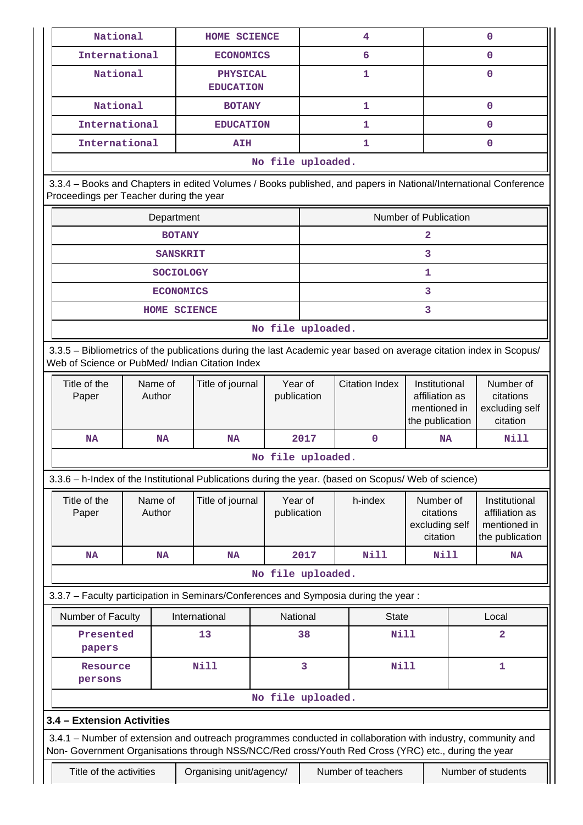| National                                                                                                                                                                                                           |                                                                                                                                                                       |                     | <b>HOME SCIENCE</b>                 |                   |                        | 4                     |                                                                    |             | $\mathbf 0$                                                        |
|--------------------------------------------------------------------------------------------------------------------------------------------------------------------------------------------------------------------|-----------------------------------------------------------------------------------------------------------------------------------------------------------------------|---------------------|-------------------------------------|-------------------|------------------------|-----------------------|--------------------------------------------------------------------|-------------|--------------------------------------------------------------------|
|                                                                                                                                                                                                                    | International<br><b>ECONOMICS</b>                                                                                                                                     |                     |                                     |                   | 6                      |                       |                                                                    | $\mathbf 0$ |                                                                    |
| National                                                                                                                                                                                                           |                                                                                                                                                                       |                     | <b>PHYSICAL</b><br><b>EDUCATION</b> |                   |                        | 1                     |                                                                    |             | $\mathbf 0$                                                        |
|                                                                                                                                                                                                                    | National<br><b>BOTANY</b>                                                                                                                                             |                     |                                     | $\mathbf{1}$      |                        |                       |                                                                    | $\mathbf 0$ |                                                                    |
| International                                                                                                                                                                                                      |                                                                                                                                                                       |                     | <b>EDUCATION</b>                    |                   |                        | 1                     |                                                                    |             | $\mathbf 0$                                                        |
| International                                                                                                                                                                                                      |                                                                                                                                                                       |                     | <b>AIH</b>                          |                   |                        | 1                     |                                                                    |             | $\mathbf 0$                                                        |
|                                                                                                                                                                                                                    | No file uploaded.                                                                                                                                                     |                     |                                     |                   |                        |                       |                                                                    |             |                                                                    |
| 3.3.4 - Books and Chapters in edited Volumes / Books published, and papers in National/International Conference<br>Proceedings per Teacher during the year                                                         |                                                                                                                                                                       |                     |                                     |                   |                        |                       |                                                                    |             |                                                                    |
|                                                                                                                                                                                                                    |                                                                                                                                                                       | Department          |                                     |                   |                        |                       | Number of Publication                                              |             |                                                                    |
|                                                                                                                                                                                                                    |                                                                                                                                                                       | <b>BOTANY</b>       |                                     |                   |                        |                       | 2                                                                  |             |                                                                    |
|                                                                                                                                                                                                                    |                                                                                                                                                                       | <b>SANSKRIT</b>     |                                     |                   |                        |                       | 3                                                                  |             |                                                                    |
|                                                                                                                                                                                                                    |                                                                                                                                                                       | <b>SOCIOLOGY</b>    |                                     |                   |                        |                       | 1                                                                  |             |                                                                    |
|                                                                                                                                                                                                                    |                                                                                                                                                                       | <b>ECONOMICS</b>    |                                     |                   |                        |                       | 3                                                                  |             |                                                                    |
|                                                                                                                                                                                                                    |                                                                                                                                                                       | <b>HOME SCIENCE</b> |                                     |                   |                        |                       | 3                                                                  |             |                                                                    |
|                                                                                                                                                                                                                    |                                                                                                                                                                       |                     |                                     | No file uploaded. |                        |                       |                                                                    |             |                                                                    |
|                                                                                                                                                                                                                    | 3.3.5 - Bibliometrics of the publications during the last Academic year based on average citation index in Scopus/<br>Web of Science or PubMed/ Indian Citation Index |                     |                                     |                   |                        |                       |                                                                    |             |                                                                    |
| Title of the<br>Paper                                                                                                                                                                                              |                                                                                                                                                                       | Name of<br>Author   | Title of journal                    |                   | Year of<br>publication | <b>Citation Index</b> | Institutional<br>affiliation as<br>mentioned in<br>the publication |             | Number of<br>citations<br>excluding self<br>citation               |
| <b>NA</b>                                                                                                                                                                                                          | <b>NA</b><br><b>NA</b>                                                                                                                                                |                     | 2017                                | $\mathbf 0$       | NA                     |                       | Nill                                                               |             |                                                                    |
|                                                                                                                                                                                                                    |                                                                                                                                                                       |                     |                                     | No file uploaded. |                        |                       |                                                                    |             |                                                                    |
| 3.3.6 - h-Index of the Institutional Publications during the year. (based on Scopus/ Web of science)                                                                                                               |                                                                                                                                                                       |                     |                                     |                   |                        |                       |                                                                    |             |                                                                    |
| Title of the<br>Paper                                                                                                                                                                                              |                                                                                                                                                                       | Name of<br>Author   | Title of journal                    |                   | Year of<br>publication | h-index               | Number of<br>citations<br>excluding self<br>citation               |             | Institutional<br>affiliation as<br>mentioned in<br>the publication |
| <b>NA</b>                                                                                                                                                                                                          |                                                                                                                                                                       | <b>NA</b>           | <b>NA</b>                           |                   | 2017                   | Nill                  | Nill                                                               |             | <b>NA</b>                                                          |
|                                                                                                                                                                                                                    |                                                                                                                                                                       |                     |                                     | No file uploaded. |                        |                       |                                                                    |             |                                                                    |
| 3.3.7 - Faculty participation in Seminars/Conferences and Symposia during the year:                                                                                                                                |                                                                                                                                                                       |                     |                                     |                   |                        |                       |                                                                    |             |                                                                    |
| Number of Faculty                                                                                                                                                                                                  |                                                                                                                                                                       |                     | International                       |                   | National               | <b>State</b>          |                                                                    |             | Local                                                              |
| Presented<br>papers                                                                                                                                                                                                |                                                                                                                                                                       |                     | 13                                  |                   | 38                     | <b>Nill</b>           |                                                                    |             | $\overline{\mathbf{2}}$                                            |
| Resource<br>persons                                                                                                                                                                                                |                                                                                                                                                                       |                     | <b>Nill</b>                         |                   | 3                      | <b>Nill</b>           |                                                                    |             | 1                                                                  |
|                                                                                                                                                                                                                    |                                                                                                                                                                       |                     |                                     | No file uploaded. |                        |                       |                                                                    |             |                                                                    |
| 3.4 - Extension Activities                                                                                                                                                                                         |                                                                                                                                                                       |                     |                                     |                   |                        |                       |                                                                    |             |                                                                    |
| 3.4.1 – Number of extension and outreach programmes conducted in collaboration with industry, community and<br>Non- Government Organisations through NSS/NCC/Red cross/Youth Red Cross (YRC) etc., during the year |                                                                                                                                                                       |                     |                                     |                   |                        |                       |                                                                    |             |                                                                    |
| Title of the activities                                                                                                                                                                                            |                                                                                                                                                                       |                     | Organising unit/agency/             |                   |                        | Number of teachers    |                                                                    |             | Number of students                                                 |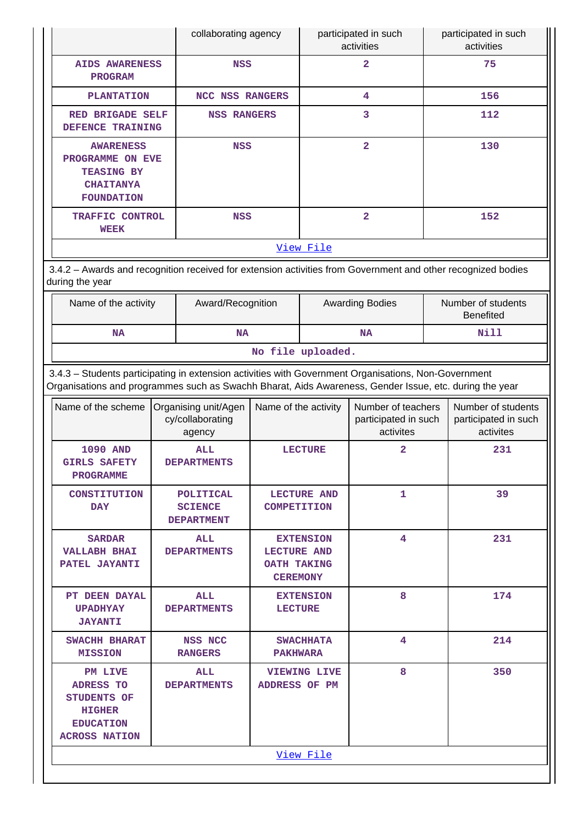|                                                                                                                                                                                                                |                                                            | collaborating agency                             |                                                      | participated in such<br>activities |                                                         | participated in such<br>activities |                                                         |
|----------------------------------------------------------------------------------------------------------------------------------------------------------------------------------------------------------------|------------------------------------------------------------|--------------------------------------------------|------------------------------------------------------|------------------------------------|---------------------------------------------------------|------------------------------------|---------------------------------------------------------|
| <b>AIDS AWARENESS</b><br><b>PROGRAM</b>                                                                                                                                                                        |                                                            | <b>NSS</b>                                       |                                                      |                                    | $\overline{\mathbf{2}}$                                 |                                    | 75                                                      |
| <b>PLANTATION</b>                                                                                                                                                                                              | NCC NSS RANGERS                                            |                                                  |                                                      |                                    | 4                                                       |                                    | 156                                                     |
|                                                                                                                                                                                                                | RED BRIGADE SELF<br><b>NSS RANGERS</b><br>DEFENCE TRAINING |                                                  |                                                      |                                    | 3                                                       |                                    | 112                                                     |
| <b>AWARENESS</b><br><b>TEASING BY</b><br><b>CHAITANYA</b><br><b>FOUNDATION</b>                                                                                                                                 | <b>NSS</b><br>PROGRAMME ON EVE                             |                                                  |                                                      |                                    | $\overline{\mathbf{2}}$                                 |                                    | 130                                                     |
| <b>WEEK</b>                                                                                                                                                                                                    | TRAFFIC CONTROL<br><b>NSS</b>                              |                                                  |                                                      |                                    | $\overline{2}$                                          |                                    | 152                                                     |
|                                                                                                                                                                                                                |                                                            |                                                  |                                                      | View File                          |                                                         |                                    |                                                         |
| 3.4.2 - Awards and recognition received for extension activities from Government and other recognized bodies<br>during the year                                                                                |                                                            |                                                  |                                                      |                                    |                                                         |                                    |                                                         |
| Name of the activity                                                                                                                                                                                           |                                                            | Award/Recognition                                |                                                      |                                    | <b>Awarding Bodies</b>                                  |                                    | Number of students<br><b>Benefited</b>                  |
| <b>NA</b>                                                                                                                                                                                                      | <b>NA</b>                                                  |                                                  |                                                      |                                    | <b>NA</b>                                               | Nill                               |                                                         |
|                                                                                                                                                                                                                |                                                            |                                                  | No file uploaded.                                    |                                    |                                                         |                                    |                                                         |
| 3.4.3 - Students participating in extension activities with Government Organisations, Non-Government<br>Organisations and programmes such as Swachh Bharat, Aids Awareness, Gender Issue, etc. during the year |                                                            |                                                  |                                                      |                                    |                                                         |                                    |                                                         |
| Name of the scheme                                                                                                                                                                                             | Organising unit/Agen<br>cy/collaborating<br>agency         |                                                  | Name of the activity                                 |                                    | Number of teachers<br>participated in such<br>activites |                                    | Number of students<br>participated in such<br>activites |
| <b>1090 AND</b><br><b>GIRLS SAFETY</b><br><b>PROGRAMME</b>                                                                                                                                                     |                                                            | <b>ALL</b><br><b>DEPARTMENTS</b>                 |                                                      | $\overline{2}$<br><b>LECTURE</b>   |                                                         |                                    | 231                                                     |
| <b>CONSTITUTION</b><br><b>DAY</b>                                                                                                                                                                              |                                                            | POLITICAL<br><b>SCIENCE</b><br><b>DEPARTMENT</b> | <b>COMPETITION</b>                                   | 1<br><b>LECTURE AND</b>            |                                                         |                                    | 39                                                      |
| <b>SARDAR</b><br><b>VALLABH BHAI</b><br>PATEL JAYANTI                                                                                                                                                          |                                                            | <b>ALL</b><br><b>DEPARTMENTS</b>                 | <b>LECTURE AND</b><br>OATH TAKING<br><b>CEREMONY</b> | 4<br><b>EXTENSION</b>              |                                                         |                                    | 231                                                     |
| PT DEEN DAYAL<br><b>UPADHYAY</b><br><b>JAYANTI</b>                                                                                                                                                             |                                                            | <b>ALL</b><br><b>DEPARTMENTS</b>                 | <b>LECTURE</b>                                       | <b>EXTENSION</b>                   | 8                                                       |                                    | 174                                                     |
| SWACHH BHARAT<br><b>MISSION</b>                                                                                                                                                                                |                                                            | <b>NSS NCC</b><br><b>RANGERS</b>                 | <b>PAKHWARA</b>                                      | <b>SWACHHATA</b>                   | 4                                                       |                                    | 214                                                     |
| <b>PM LIVE</b><br><b>ADRESS TO</b><br><b>STUDENTS OF</b><br><b>HIGHER</b><br><b>EDUCATION</b><br><b>ACROSS NATION</b>                                                                                          |                                                            | <b>ALL</b><br><b>DEPARTMENTS</b>                 | <b>ADDRESS OF PM</b>                                 | <b>VIEWING LIVE</b>                | 8                                                       |                                    | 350                                                     |
|                                                                                                                                                                                                                |                                                            |                                                  |                                                      | View File                          |                                                         |                                    |                                                         |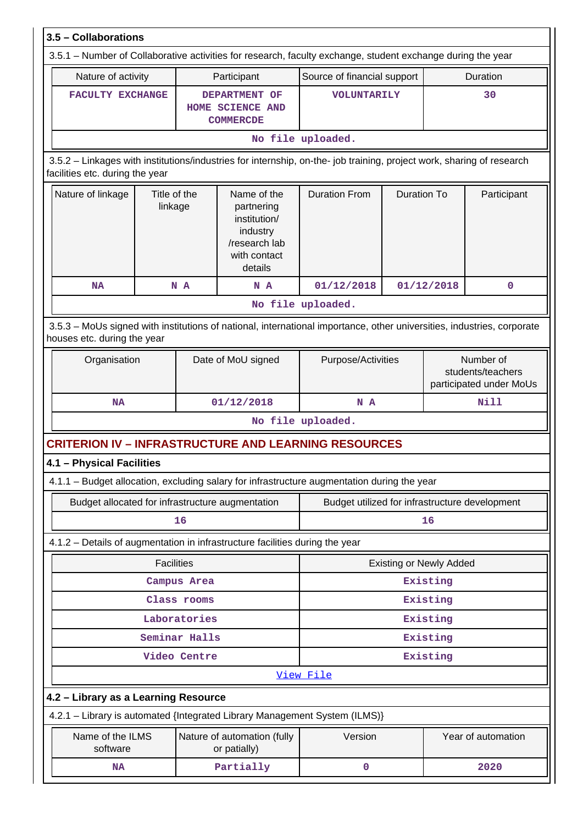| 3.5 - Collaborations                                                                                                                                                  |                                                                                                             |                                                                                                   |                                                |                    |                                              |                    |  |
|-----------------------------------------------------------------------------------------------------------------------------------------------------------------------|-------------------------------------------------------------------------------------------------------------|---------------------------------------------------------------------------------------------------|------------------------------------------------|--------------------|----------------------------------------------|--------------------|--|
|                                                                                                                                                                       | 3.5.1 – Number of Collaborative activities for research, faculty exchange, student exchange during the year |                                                                                                   |                                                |                    |                                              |                    |  |
| Nature of activity                                                                                                                                                    |                                                                                                             | Participant                                                                                       | Source of financial support                    |                    |                                              | Duration           |  |
| FACULTY EXCHANGE                                                                                                                                                      |                                                                                                             | DEPARTMENT OF<br><b>HOME SCIENCE AND</b><br><b>COMMERCDE</b>                                      | <b>VOLUNTARILY</b>                             |                    |                                              | 30                 |  |
|                                                                                                                                                                       |                                                                                                             |                                                                                                   | No file uploaded.                              |                    |                                              |                    |  |
| 3.5.2 - Linkages with institutions/industries for internship, on-the- job training, project work, sharing of research<br>facilities etc. during the year              |                                                                                                             |                                                                                                   |                                                |                    |                                              |                    |  |
| Nature of linkage                                                                                                                                                     | Title of the<br>linkage                                                                                     | Name of the<br>partnering<br>institution/<br>industry<br>/research lab<br>with contact<br>details | <b>Duration From</b>                           | <b>Duration To</b> |                                              | Participant        |  |
| <b>NA</b>                                                                                                                                                             | N A                                                                                                         | N A                                                                                               | 01/12/2018                                     |                    | 01/12/2018                                   | $\mathbf 0$        |  |
|                                                                                                                                                                       |                                                                                                             |                                                                                                   | No file uploaded.                              |                    |                                              |                    |  |
| 3.5.3 - MoUs signed with institutions of national, international importance, other universities, industries, corporate<br>houses etc. during the year<br>Organisation |                                                                                                             | Date of MoU signed                                                                                | Purpose/Activities                             |                    |                                              | Number of          |  |
|                                                                                                                                                                       |                                                                                                             |                                                                                                   |                                                |                    | students/teachers<br>participated under MoUs |                    |  |
| <b>NA</b><br>01/12/2018                                                                                                                                               |                                                                                                             |                                                                                                   | N A                                            |                    |                                              | <b>Nill</b>        |  |
|                                                                                                                                                                       |                                                                                                             |                                                                                                   | No file uploaded.                              |                    |                                              |                    |  |
| <b>CRITERION IV - INFRASTRUCTURE AND LEARNING RESOURCES</b>                                                                                                           |                                                                                                             |                                                                                                   |                                                |                    |                                              |                    |  |
| 4.1 - Physical Facilities                                                                                                                                             |                                                                                                             |                                                                                                   |                                                |                    |                                              |                    |  |
| 4.1.1 - Budget allocation, excluding salary for infrastructure augmentation during the year                                                                           |                                                                                                             |                                                                                                   |                                                |                    |                                              |                    |  |
| Budget allocated for infrastructure augmentation                                                                                                                      |                                                                                                             |                                                                                                   | Budget utilized for infrastructure development |                    |                                              |                    |  |
|                                                                                                                                                                       | 16                                                                                                          |                                                                                                   | 16                                             |                    |                                              |                    |  |
| 4.1.2 - Details of augmentation in infrastructure facilities during the year                                                                                          |                                                                                                             |                                                                                                   |                                                |                    |                                              |                    |  |
|                                                                                                                                                                       | <b>Facilities</b>                                                                                           |                                                                                                   |                                                |                    | <b>Existing or Newly Added</b>               |                    |  |
|                                                                                                                                                                       | Campus Area                                                                                                 |                                                                                                   |                                                |                    | Existing                                     |                    |  |
|                                                                                                                                                                       | Class rooms                                                                                                 |                                                                                                   |                                                |                    | Existing                                     |                    |  |
|                                                                                                                                                                       | Laboratories                                                                                                |                                                                                                   |                                                |                    | Existing                                     |                    |  |
|                                                                                                                                                                       | Seminar Halls                                                                                               |                                                                                                   | Existing                                       |                    |                                              |                    |  |
|                                                                                                                                                                       | Video Centre                                                                                                |                                                                                                   |                                                |                    | Existing                                     |                    |  |
|                                                                                                                                                                       |                                                                                                             |                                                                                                   | View File                                      |                    |                                              |                    |  |
| 4.2 - Library as a Learning Resource                                                                                                                                  |                                                                                                             |                                                                                                   |                                                |                    |                                              |                    |  |
| 4.2.1 - Library is automated {Integrated Library Management System (ILMS)}                                                                                            |                                                                                                             |                                                                                                   |                                                |                    |                                              |                    |  |
| Name of the ILMS<br>software                                                                                                                                          |                                                                                                             | Nature of automation (fully<br>or patially)                                                       | Version                                        |                    |                                              | Year of automation |  |
| <b>NA</b>                                                                                                                                                             |                                                                                                             | Partially                                                                                         | 0                                              |                    |                                              | 2020               |  |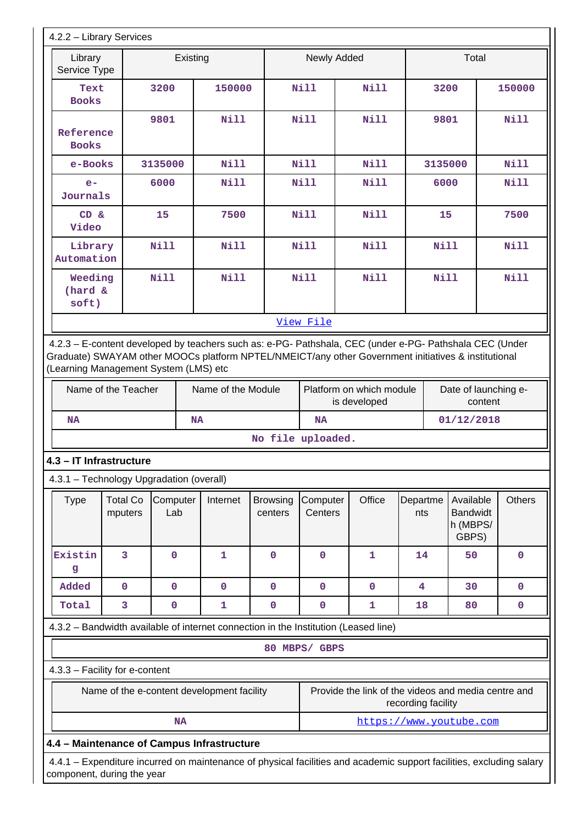| 4.2.2 - Library Services                                                                                                                                                                                                                                |                                                                                                                                                    |                 |                                            |                            |                                          |                                                     |                    |             |                                                   |               |
|---------------------------------------------------------------------------------------------------------------------------------------------------------------------------------------------------------------------------------------------------------|----------------------------------------------------------------------------------------------------------------------------------------------------|-----------------|--------------------------------------------|----------------------------|------------------------------------------|-----------------------------------------------------|--------------------|-------------|---------------------------------------------------|---------------|
| Library<br>Service Type                                                                                                                                                                                                                                 |                                                                                                                                                    | Existing        |                                            |                            | Newly Added                              |                                                     |                    |             | Total                                             |               |
| Text<br><b>Books</b>                                                                                                                                                                                                                                    | 3200<br>150000                                                                                                                                     |                 |                                            | <b>Nill</b><br><b>Nill</b> |                                          |                                                     | 3200               |             | 150000                                            |               |
| Reference<br><b>Books</b>                                                                                                                                                                                                                               |                                                                                                                                                    | 9801            | <b>Nill</b>                                |                            | <b>Nill</b>                              | <b>Nill</b>                                         |                    | 9801        |                                                   | <b>Nill</b>   |
| e-Books                                                                                                                                                                                                                                                 |                                                                                                                                                    | 3135000         | <b>Nill</b>                                |                            | <b>Nill</b>                              | <b>Nill</b>                                         |                    | 3135000     |                                                   | Nill          |
| $e-$<br>Journals                                                                                                                                                                                                                                        |                                                                                                                                                    | 6000            | <b>Nill</b>                                |                            | Nill                                     | <b>Nill</b>                                         |                    | 6000        |                                                   | <b>Nill</b>   |
| CD &<br>Video                                                                                                                                                                                                                                           |                                                                                                                                                    | 15              | 7500                                       |                            | <b>Nill</b>                              | <b>Nill</b>                                         |                    | 15          |                                                   | 7500          |
| Library<br>Automation                                                                                                                                                                                                                                   |                                                                                                                                                    | Nill            | <b>Nill</b>                                |                            | <b>Nill</b>                              | <b>Nill</b>                                         |                    | Nill        |                                                   | <b>Nill</b>   |
| Weeding<br>(hard &<br>soft)                                                                                                                                                                                                                             |                                                                                                                                                    | <b>Nill</b>     | <b>Nill</b>                                |                            | <b>Nill</b>                              | <b>Nill</b>                                         |                    | <b>Nill</b> |                                                   | <b>Nill</b>   |
|                                                                                                                                                                                                                                                         |                                                                                                                                                    |                 |                                            |                            | View File                                |                                                     |                    |             |                                                   |               |
| 4.2.3 - E-content developed by teachers such as: e-PG- Pathshala, CEC (under e-PG- Pathshala CEC (Under<br>Graduate) SWAYAM other MOOCs platform NPTEL/NMEICT/any other Government initiatives & institutional<br>(Learning Management System (LMS) etc |                                                                                                                                                    |                 |                                            |                            |                                          |                                                     |                    |             |                                                   |               |
|                                                                                                                                                                                                                                                         | Name of the Teacher<br>Name of the Module                                                                                                          |                 |                                            |                            | Platform on which module<br>is developed |                                                     |                    |             | Date of launching e-<br>content                   |               |
| <b>NA</b>                                                                                                                                                                                                                                               | <b>NA</b>                                                                                                                                          |                 |                                            |                            | <b>NA</b>                                |                                                     |                    |             | 01/12/2018                                        |               |
|                                                                                                                                                                                                                                                         |                                                                                                                                                    |                 |                                            | No file uploaded.          |                                          |                                                     |                    |             |                                                   |               |
| 4.3 - IT Infrastructure                                                                                                                                                                                                                                 |                                                                                                                                                    |                 |                                            |                            |                                          |                                                     |                    |             |                                                   |               |
| 4.3.1 - Technology Upgradation (overall)                                                                                                                                                                                                                |                                                                                                                                                    |                 |                                            |                            |                                          |                                                     |                    |             |                                                   |               |
| <b>Type</b>                                                                                                                                                                                                                                             | <b>Total Co</b><br>mputers                                                                                                                         | Computer<br>Lab | Internet                                   | <b>Browsing</b><br>centers | Computer<br>Centers                      | Office                                              | Departme<br>nts    |             | Available<br><b>Bandwidt</b><br>h (MBPS/<br>GBPS) | <b>Others</b> |
| Existin<br>g                                                                                                                                                                                                                                            | 3                                                                                                                                                  | $\mathbf 0$     | $\mathbf{1}$                               | $\mathbf 0$                | $\mathbf 0$                              | $\mathbf 1$                                         | 14                 |             | 50                                                | $\mathbf 0$   |
| Added                                                                                                                                                                                                                                                   | $\mathbf 0$                                                                                                                                        | $\mathbf 0$     | $\mathbf 0$                                | $\mathbf 0$                | $\mathbf 0$                              | $\mathbf 0$                                         | 4                  |             | 30                                                | 0             |
| Total                                                                                                                                                                                                                                                   | 3                                                                                                                                                  | $\mathbf 0$     | $\mathbf{1}$                               | $\pmb{0}$                  | $\pmb{0}$                                | $\mathbf{1}$                                        | 18                 |             | 80                                                | 0             |
| 4.3.2 - Bandwidth available of internet connection in the Institution (Leased line)                                                                                                                                                                     |                                                                                                                                                    |                 |                                            |                            |                                          |                                                     |                    |             |                                                   |               |
|                                                                                                                                                                                                                                                         |                                                                                                                                                    |                 |                                            |                            | 80 MBPS/ GBPS                            |                                                     |                    |             |                                                   |               |
| 4.3.3 - Facility for e-content                                                                                                                                                                                                                          |                                                                                                                                                    |                 |                                            |                            |                                          |                                                     |                    |             |                                                   |               |
|                                                                                                                                                                                                                                                         |                                                                                                                                                    |                 | Name of the e-content development facility |                            |                                          | Provide the link of the videos and media centre and | recording facility |             |                                                   |               |
|                                                                                                                                                                                                                                                         |                                                                                                                                                    | <b>NA</b>       |                                            |                            |                                          | https://www.youtube.com                             |                    |             |                                                   |               |
| 4.4 - Maintenance of Campus Infrastructure                                                                                                                                                                                                              |                                                                                                                                                    |                 |                                            |                            |                                          |                                                     |                    |             |                                                   |               |
|                                                                                                                                                                                                                                                         | 4.4.1 – Expenditure incurred on maintenance of physical facilities and academic support facilities, excluding salary<br>component, during the year |                 |                                            |                            |                                          |                                                     |                    |             |                                                   |               |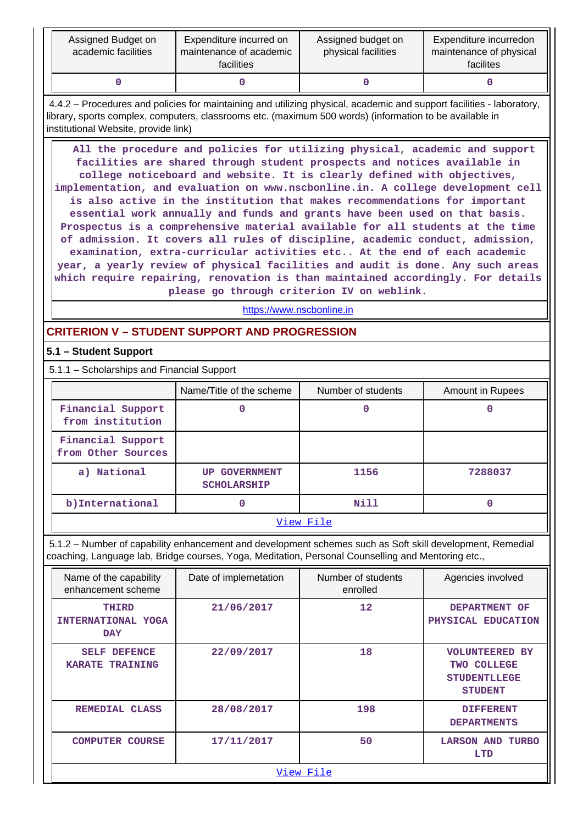| Assigned Budget on<br>academic facilities | Expenditure incurred on<br>maintenance of academic<br>facilities | Assigned budget on<br>physical facilities | Expenditure incurredon<br>maintenance of physical<br>facilites |
|-------------------------------------------|------------------------------------------------------------------|-------------------------------------------|----------------------------------------------------------------|
|                                           |                                                                  |                                           |                                                                |

 4.4.2 – Procedures and policies for maintaining and utilizing physical, academic and support facilities - laboratory, library, sports complex, computers, classrooms etc. (maximum 500 words) (information to be available in institutional Website, provide link)

 **All the procedure and policies for utilizing physical, academic and support facilities are shared through student prospects and notices available in college noticeboard and website. It is clearly defined with objectives, implementation, and evaluation on www.nscbonline.in. A college development cell is also active in the institution that makes recommendations for important essential work annually and funds and grants have been used on that basis. Prospectus is a comprehensive material available for all students at the time of admission. It covers all rules of discipline, academic conduct, admission, examination, extra-curricular activities etc.. At the end of each academic year, a yearly review of physical facilities and audit is done. Any such areas which require repairing, renovation is than maintained accordingly. For details please go through criterion IV on weblink.**

<https://www.nscbonline.in>

## **CRITERION V – STUDENT SUPPORT AND PROGRESSION**

## **5.1 – Student Support**

5.1.1 – Scholarships and Financial Support

|                                         | Name/Title of the scheme                   | Number of students | Amount in Rupees |  |  |  |
|-----------------------------------------|--------------------------------------------|--------------------|------------------|--|--|--|
| Financial Support<br>from institution   |                                            | 0                  |                  |  |  |  |
| Financial Support<br>from Other Sources |                                            |                    |                  |  |  |  |
| a) National                             | <b>UP GOVERNMENT</b><br><b>SCHOLARSHIP</b> | 1156               | 7288037          |  |  |  |
| b)International                         |                                            | Nill               |                  |  |  |  |
| View File                               |                                            |                    |                  |  |  |  |

 5.1.2 – Number of capability enhancement and development schemes such as Soft skill development, Remedial coaching, Language lab, Bridge courses, Yoga, Meditation, Personal Counselling and Mentoring etc.,

| Name of the capability<br>enhancement scheme            | Date of implemetation | Number of students<br>enrolled | Agencies involved                                                             |  |  |  |  |
|---------------------------------------------------------|-----------------------|--------------------------------|-------------------------------------------------------------------------------|--|--|--|--|
| THIRD<br>INTERNATIONAL YOGA<br><b>DAY</b>               | 21/06/2017            | $12 \overline{ }$              | DEPARTMENT OF<br>PHYSICAL EDUCATION                                           |  |  |  |  |
| <b>DEFENCE</b><br><b>SELF</b><br><b>KARATE TRAINING</b> | 22/09/2017            | 18                             | <b>VOLUNTEERED BY</b><br>TWO COLLEGE<br><b>STUDENTLLEGE</b><br><b>STUDENT</b> |  |  |  |  |
| REMEDIAL CLASS                                          | 28/08/2017            | 198                            | <b>DIFFERENT</b><br><b>DEPARTMENTS</b>                                        |  |  |  |  |
| <b>COMPUTER COURSE</b>                                  | 17/11/2017            | 50                             | <b>LARSON AND</b><br><b>TURBO</b><br>LTD                                      |  |  |  |  |
|                                                         | View File             |                                |                                                                               |  |  |  |  |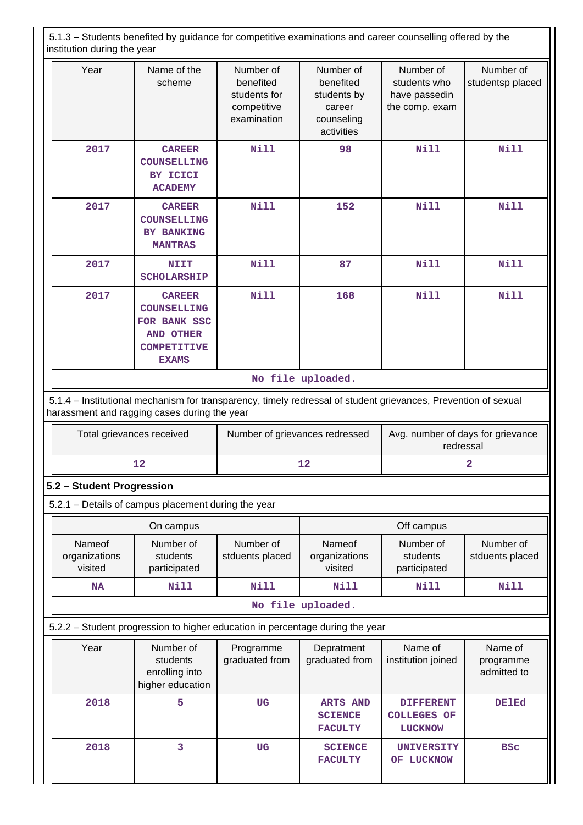5.1.3 – Students benefited by guidance for competitive examinations and career counselling offered by the institution during the year Year | Name of the scheme Number of benefited students for competitive examination Number of benefited students by career counseling activities Number of students who have passedin the comp. exam Number of studentsp placed  **2017 CAREER COUNSELLING BY ICICI ACADEMY Nill 98 Nill Nill 2017 CAREER COUNSELLING BY BANKING MANTRAS Nill 152 Nill Nill 2017 NIIT SCHOLARSHIP Nill 87 Nill Nill 2017 CAREER COUNSELLING FOR BANK SSC AND OTHER COMPETITIVE EXAMS** <code> Nill | 168</code>  $\vert$  <code> Nill | Nill</code> **No file uploaded.** 5.1.4 – Institutional mechanism for transparency, timely redressal of student grievances, Prevention of sexual harassment and ragging cases during the year Total grievances received | Number of grievances redressed | Avg. number of days for grievance redressal **12** 2 **5.2 – Student Progression** 5.2.1 – Details of campus placement during the year **On campus On campus On campus Deficiency Off campus** Nameof organizations visited Number of students participated Number of stduents placed Nameof organizations visited Number of students participated Number of stduents placed  **NA Nill Nill Nill Nill Nill No file uploaded.** 5.2.2 – Student progression to higher education in percentage during the year Year | Number of students enrolling into higher education Programme graduated from **Depratment** graduated from Name of institution joined Name of programme admitted to  **2018 5 UG ARTS AND SCIENCE DIFFERENT COLLEGES OF DElEd**

**FACULTY**

**FACULTY**

 **2018 3 UG SCIENCE**

**LUCKNOW**

 **UNIVERSITY OF LUCKNOW**

 **BSc**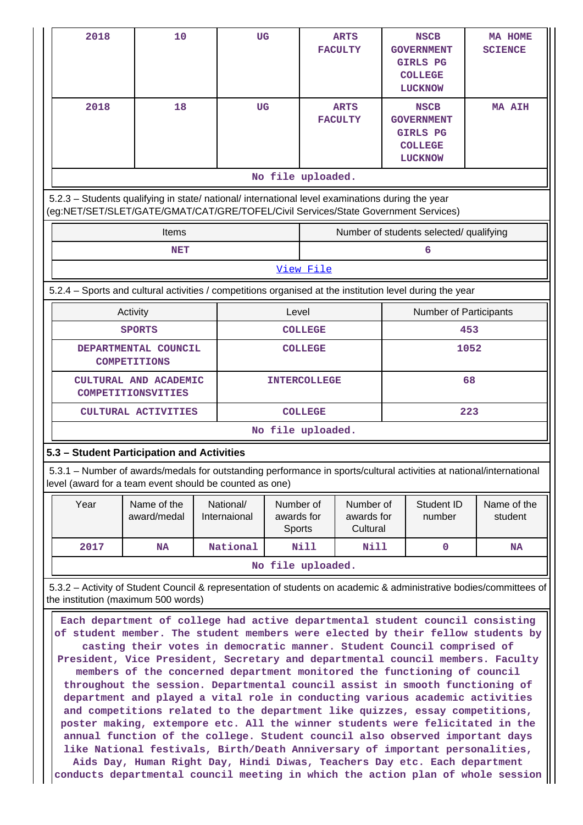| 10                                                                                                                                                                                     |  |                                                                      |                                                                                     |                                                                                   |                                                                                                                              |                                                                                                            | <b>NSCB</b>                                 | MA HOME<br><b>SCIENCE</b>                                                                                                                                                                                                                                                                                                                                                                                                                                    |  |
|----------------------------------------------------------------------------------------------------------------------------------------------------------------------------------------|--|----------------------------------------------------------------------|-------------------------------------------------------------------------------------|-----------------------------------------------------------------------------------|------------------------------------------------------------------------------------------------------------------------------|------------------------------------------------------------------------------------------------------------|---------------------------------------------|--------------------------------------------------------------------------------------------------------------------------------------------------------------------------------------------------------------------------------------------------------------------------------------------------------------------------------------------------------------------------------------------------------------------------------------------------------------|--|
| 18                                                                                                                                                                                     |  |                                                                      |                                                                                     |                                                                                   |                                                                                                                              |                                                                                                            | <b>NSCB</b>                                 | <b>MA AIH</b>                                                                                                                                                                                                                                                                                                                                                                                                                                                |  |
| No file uploaded.                                                                                                                                                                      |  |                                                                      |                                                                                     |                                                                                   |                                                                                                                              |                                                                                                            |                                             |                                                                                                                                                                                                                                                                                                                                                                                                                                                              |  |
| 5.2.3 - Students qualifying in state/ national/ international level examinations during the year<br>(eg:NET/SET/SLET/GATE/GMAT/CAT/GRE/TOFEL/Civil Services/State Government Services) |  |                                                                      |                                                                                     |                                                                                   |                                                                                                                              |                                                                                                            |                                             |                                                                                                                                                                                                                                                                                                                                                                                                                                                              |  |
| Items                                                                                                                                                                                  |  |                                                                      |                                                                                     |                                                                                   |                                                                                                                              |                                                                                                            |                                             |                                                                                                                                                                                                                                                                                                                                                                                                                                                              |  |
| NET                                                                                                                                                                                    |  |                                                                      |                                                                                     |                                                                                   |                                                                                                                              |                                                                                                            | 6                                           |                                                                                                                                                                                                                                                                                                                                                                                                                                                              |  |
|                                                                                                                                                                                        |  |                                                                      |                                                                                     |                                                                                   |                                                                                                                              |                                                                                                            |                                             |                                                                                                                                                                                                                                                                                                                                                                                                                                                              |  |
|                                                                                                                                                                                        |  |                                                                      |                                                                                     |                                                                                   |                                                                                                                              |                                                                                                            |                                             |                                                                                                                                                                                                                                                                                                                                                                                                                                                              |  |
| Activity                                                                                                                                                                               |  |                                                                      |                                                                                     |                                                                                   |                                                                                                                              |                                                                                                            |                                             |                                                                                                                                                                                                                                                                                                                                                                                                                                                              |  |
| <b>SPORTS</b>                                                                                                                                                                          |  |                                                                      |                                                                                     |                                                                                   |                                                                                                                              |                                                                                                            |                                             | 453                                                                                                                                                                                                                                                                                                                                                                                                                                                          |  |
| <b>COMPETITIONS</b>                                                                                                                                                                    |  |                                                                      |                                                                                     |                                                                                   |                                                                                                                              |                                                                                                            |                                             | 1052                                                                                                                                                                                                                                                                                                                                                                                                                                                         |  |
| <b>COMPETITIONSVITIES</b>                                                                                                                                                              |  |                                                                      |                                                                                     |                                                                                   | 68                                                                                                                           |                                                                                                            |                                             |                                                                                                                                                                                                                                                                                                                                                                                                                                                              |  |
|                                                                                                                                                                                        |  |                                                                      |                                                                                     |                                                                                   |                                                                                                                              |                                                                                                            |                                             | 223                                                                                                                                                                                                                                                                                                                                                                                                                                                          |  |
|                                                                                                                                                                                        |  |                                                                      |                                                                                     |                                                                                   |                                                                                                                              |                                                                                                            |                                             |                                                                                                                                                                                                                                                                                                                                                                                                                                                              |  |
|                                                                                                                                                                                        |  |                                                                      |                                                                                     |                                                                                   |                                                                                                                              |                                                                                                            |                                             |                                                                                                                                                                                                                                                                                                                                                                                                                                                              |  |
|                                                                                                                                                                                        |  |                                                                      |                                                                                     |                                                                                   |                                                                                                                              |                                                                                                            |                                             |                                                                                                                                                                                                                                                                                                                                                                                                                                                              |  |
| Name of the<br>award/medal                                                                                                                                                             |  |                                                                      |                                                                                     |                                                                                   |                                                                                                                              |                                                                                                            | Student ID<br>number                        | Name of the<br>student                                                                                                                                                                                                                                                                                                                                                                                                                                       |  |
| NA                                                                                                                                                                                     |  |                                                                      |                                                                                     |                                                                                   |                                                                                                                              |                                                                                                            | 0                                           | NA                                                                                                                                                                                                                                                                                                                                                                                                                                                           |  |
| No file uploaded.                                                                                                                                                                      |  |                                                                      |                                                                                     |                                                                                   |                                                                                                                              |                                                                                                            |                                             |                                                                                                                                                                                                                                                                                                                                                                                                                                                              |  |
|                                                                                                                                                                                        |  |                                                                      |                                                                                     |                                                                                   |                                                                                                                              |                                                                                                            |                                             |                                                                                                                                                                                                                                                                                                                                                                                                                                                              |  |
| the institution (maximum 500 words)                                                                                                                                                    |  |                                                                      |                                                                                     |                                                                                   |                                                                                                                              |                                                                                                            |                                             | 5.3.2 - Activity of Student Council & representation of students on academic & administrative bodies/committees of                                                                                                                                                                                                                                                                                                                                           |  |
|                                                                                                                                                                                        |  | DEPARTMENTAL COUNCIL<br>CULTURAL AND ACADEMIC<br>CULTURAL ACTIVITIES | 5.3 - Student Participation and Activities<br>National/<br>Internaional<br>National | <b>UG</b><br><b>UG</b><br>level (award for a team event should be counted as one) | View File<br>Level<br><b>COLLEGE</b><br><b>COLLEGE</b><br><b>COLLEGE</b><br>Number of<br>awards for<br><b>Sports</b><br>Nill | <b>ARTS</b><br><b>FACULTY</b><br><b>ARTS</b><br><b>FACULTY</b><br><b>INTERCOLLEGE</b><br>No file uploaded. | Number of<br>awards for<br>Cultural<br>Nill | <b>GOVERNMENT</b><br><b>GIRLS PG</b><br><b>COLLEGE</b><br><b>LUCKNOW</b><br><b>GOVERNMENT</b><br><b>GIRLS PG</b><br><b>COLLEGE</b><br><b>LUCKNOW</b><br>Number of students selected/ qualifying<br>5.2.4 – Sports and cultural activities / competitions organised at the institution level during the year<br>Number of Participants<br>5.3.1 - Number of awards/medals for outstanding performance in sports/cultural activities at national/international |  |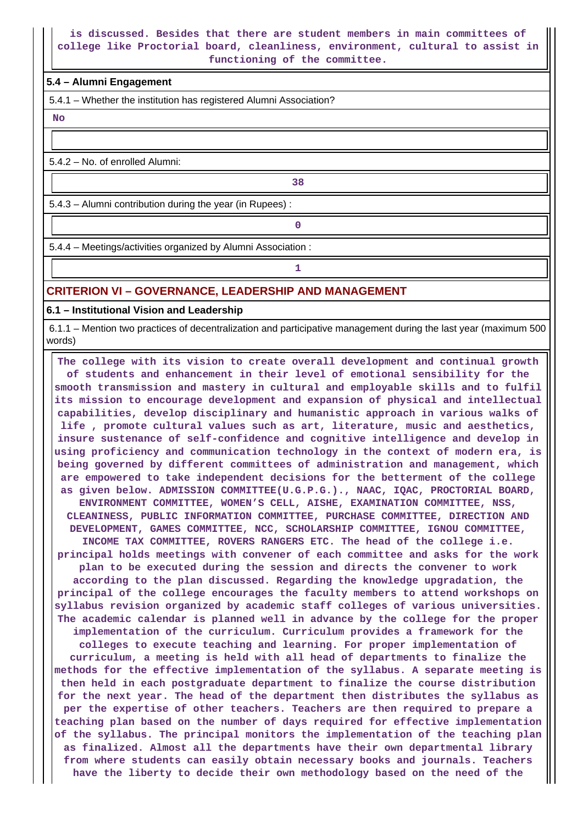### **is discussed. Besides that there are student members in main committees of college like Proctorial board, cleanliness, environment, cultural to assist in functioning of the committee.**

#### **5.4 – Alumni Engagement**

5.4.1 – Whether the institution has registered Alumni Association?

 **No**

5.4.2 – No. of enrolled Alumni:

**1 38** 

 5.4.3 – Alumni contribution during the year (in Rupees) : **0**

5.4.4 – Meetings/activities organized by Alumni Association :

**1 1 1** 

## **CRITERION VI – GOVERNANCE, LEADERSHIP AND MANAGEMENT**

**6.1 – Institutional Vision and Leadership**

 6.1.1 – Mention two practices of decentralization and participative management during the last year (maximum 500 words)

 **The college with its vision to create overall development and continual growth of students and enhancement in their level of emotional sensibility for the smooth transmission and mastery in cultural and employable skills and to fulfil its mission to encourage development and expansion of physical and intellectual capabilities, develop disciplinary and humanistic approach in various walks of life , promote cultural values such as art, literature, music and aesthetics, insure sustenance of self-confidence and cognitive intelligence and develop in using proficiency and communication technology in the context of modern era, is being governed by different committees of administration and management, which are empowered to take independent decisions for the betterment of the college as given below. ADMISSION COMMITTEE(U.G.P.G.)., NAAC, IQAC, PROCTORIAL BOARD, ENVIRONMENT COMMITTEE, WOMEN'S CELL, AISHE, EXAMINATION COMMITTEE, NSS, CLEANINESS, PUBLIC INFORMATION COMMITTEE, PURCHASE COMMITTEE, DIRECTION AND DEVELOPMENT, GAMES COMMITTEE, NCC, SCHOLARSHIP COMMITTEE, IGNOU COMMITTEE, INCOME TAX COMMITTEE, ROVERS RANGERS ETC. The head of the college i.e. principal holds meetings with convener of each committee and asks for the work plan to be executed during the session and directs the convener to work according to the plan discussed. Regarding the knowledge upgradation, the principal of the college encourages the faculty members to attend workshops on syllabus revision organized by academic staff colleges of various universities. The academic calendar is planned well in advance by the college for the proper implementation of the curriculum. Curriculum provides a framework for the colleges to execute teaching and learning. For proper implementation of curriculum, a meeting is held with all head of departments to finalize the methods for the effective implementation of the syllabus. A separate meeting is then held in each postgraduate department to finalize the course distribution for the next year. The head of the department then distributes the syllabus as per the expertise of other teachers. Teachers are then required to prepare a teaching plan based on the number of days required for effective implementation of the syllabus. The principal monitors the implementation of the teaching plan as finalized. Almost all the departments have their own departmental library from where students can easily obtain necessary books and journals. Teachers have the liberty to decide their own methodology based on the need of the**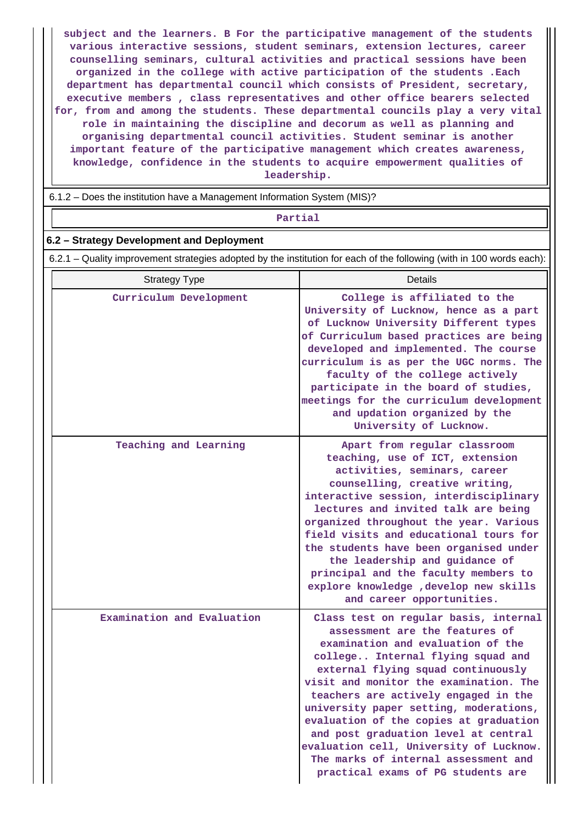**subject and the learners. B For the participative management of the students various interactive sessions, student seminars, extension lectures, career counselling seminars, cultural activities and practical sessions have been organized in the college with active participation of the students .Each department has departmental council which consists of President, secretary, executive members , class representatives and other office bearers selected for, from and among the students. These departmental councils play a very vital role in maintaining the discipline and decorum as well as planning and organising departmental council activities. Student seminar is another important feature of the participative management which creates awareness, knowledge, confidence in the students to acquire empowerment qualities of leadership.**

6.1.2 – Does the institution have a Management Information System (MIS)?

#### **Partial**

#### **6.2 – Strategy Development and Deployment**

6.2.1 – Quality improvement strategies adopted by the institution for each of the following (with in 100 words each):

| <b>Strategy Type</b>       | Details                                                                                                                                                                                                                                                                                                                                                                                                                                                                                                                        |
|----------------------------|--------------------------------------------------------------------------------------------------------------------------------------------------------------------------------------------------------------------------------------------------------------------------------------------------------------------------------------------------------------------------------------------------------------------------------------------------------------------------------------------------------------------------------|
| Curriculum Development     | College is affiliated to the<br>University of Lucknow, hence as a part<br>of Lucknow University Different types<br>of Curriculum based practices are being<br>developed and implemented. The course<br>curriculum is as per the UGC norms. The<br>faculty of the college actively<br>participate in the board of studies,<br>meetings for the curriculum development<br>and updation organized by the<br>University of Lucknow.                                                                                                |
| Teaching and Learning      | Apart from regular classroom<br>teaching, use of ICT, extension<br>activities, seminars, career<br>counselling, creative writing,<br>interactive session, interdisciplinary<br>lectures and invited talk are being<br>organized throughout the year. Various<br>field visits and educational tours for<br>the students have been organised under<br>the leadership and guidance of<br>principal and the faculty members to<br>explore knowledge , develop new skills<br>and career opportunities.                              |
| Examination and Evaluation | Class test on regular basis, internal<br>assessment are the features of<br>examination and evaluation of the<br>college Internal flying squad and<br>external flying squad continuously<br>visit and monitor the examination. The<br>teachers are actively engaged in the<br>university paper setting, moderations,<br>evaluation of the copies at graduation<br>and post graduation level at central<br>evaluation cell, University of Lucknow.<br>The marks of internal assessment and<br>practical exams of PG students are |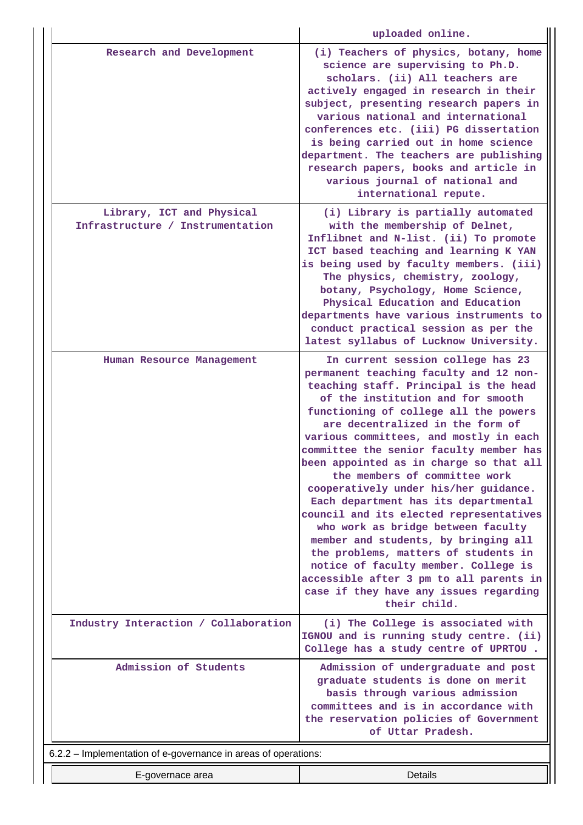|                                                                | uploaded online.                                                                                                                                                                                                                                                                                                                                                                                                                                                                                                                                                                                                                                                                                                                                                                                       |
|----------------------------------------------------------------|--------------------------------------------------------------------------------------------------------------------------------------------------------------------------------------------------------------------------------------------------------------------------------------------------------------------------------------------------------------------------------------------------------------------------------------------------------------------------------------------------------------------------------------------------------------------------------------------------------------------------------------------------------------------------------------------------------------------------------------------------------------------------------------------------------|
| Research and Development                                       | (i) Teachers of physics, botany, home<br>science are supervising to Ph.D.<br>scholars. (ii) All teachers are<br>actively engaged in research in their<br>subject, presenting research papers in<br>various national and international<br>conferences etc. (iii) PG dissertation<br>is being carried out in home science<br>department. The teachers are publishing<br>research papers, books and article in<br>various journal of national and<br>international repute.                                                                                                                                                                                                                                                                                                                                |
| Library, ICT and Physical<br>Infrastructure / Instrumentation  | (i) Library is partially automated<br>with the membership of Delnet,<br>Inflibnet and N-list. (ii) To promote<br>ICT based teaching and learning K YAN<br>is being used by faculty members. (iii)<br>The physics, chemistry, zoology,<br>botany, Psychology, Home Science,<br>Physical Education and Education<br>departments have various instruments to<br>conduct practical session as per the<br>latest syllabus of Lucknow University.                                                                                                                                                                                                                                                                                                                                                            |
| Human Resource Management                                      | In current session college has 23<br>permanent teaching faculty and 12 non-<br>teaching staff. Principal is the head<br>of the institution and for smooth<br>functioning of college all the powers<br>are decentralized in the form of<br>various committees, and mostly in each<br>committee the senior faculty member has<br>been appointed as in charge so that all<br>the members of committee work<br>cooperatively under his/her guidance.<br>Each department has its departmental<br>council and its elected representatives<br>who work as bridge between faculty<br>member and students, by bringing all<br>the problems, matters of students in<br>notice of faculty member. College is<br>accessible after 3 pm to all parents in<br>case if they have any issues regarding<br>their child. |
| Industry Interaction / Collaboration                           | (i) The College is associated with<br>IGNOU and is running study centre. (ii)<br>College has a study centre of UPRTOU.                                                                                                                                                                                                                                                                                                                                                                                                                                                                                                                                                                                                                                                                                 |
| Admission of Students                                          | Admission of undergraduate and post<br>graduate students is done on merit<br>basis through various admission<br>committees and is in accordance with<br>the reservation policies of Government<br>of Uttar Pradesh.                                                                                                                                                                                                                                                                                                                                                                                                                                                                                                                                                                                    |
| 6.2.2 – Implementation of e-governance in areas of operations: |                                                                                                                                                                                                                                                                                                                                                                                                                                                                                                                                                                                                                                                                                                                                                                                                        |
| E-governace area                                               | Details                                                                                                                                                                                                                                                                                                                                                                                                                                                                                                                                                                                                                                                                                                                                                                                                |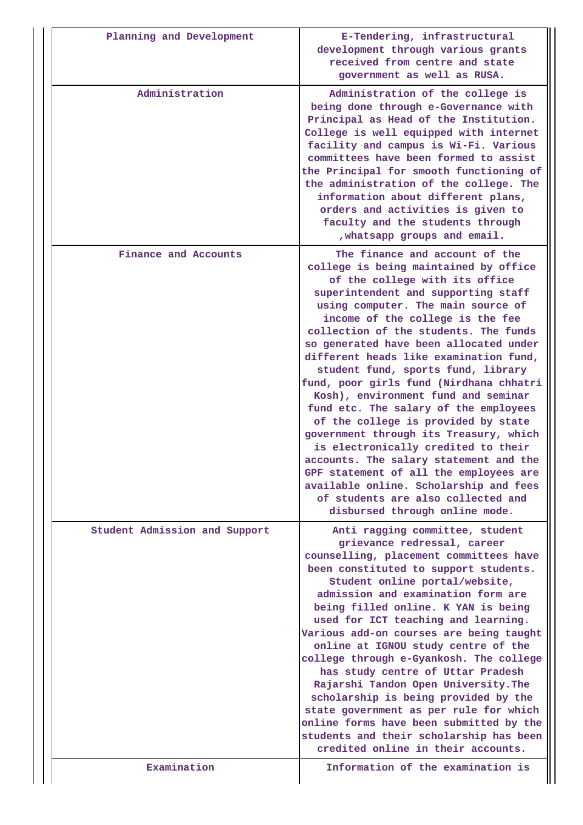| Planning and Development      | E-Tendering, infrastructural<br>development through various grants<br>received from centre and state<br>government as well as RUSA.                                                                                                                                                                                                                                                                                                                                                                                                                                                                                                                                                                                                                                                                                                                    |
|-------------------------------|--------------------------------------------------------------------------------------------------------------------------------------------------------------------------------------------------------------------------------------------------------------------------------------------------------------------------------------------------------------------------------------------------------------------------------------------------------------------------------------------------------------------------------------------------------------------------------------------------------------------------------------------------------------------------------------------------------------------------------------------------------------------------------------------------------------------------------------------------------|
| Administration                | Administration of the college is<br>being done through e-Governance with<br>Principal as Head of the Institution.<br>College is well equipped with internet<br>facility and campus is Wi-Fi. Various<br>committees have been formed to assist<br>the Principal for smooth functioning of<br>the administration of the college. The<br>information about different plans,<br>orders and activities is given to<br>faculty and the students through<br>, whatsapp groups and email.                                                                                                                                                                                                                                                                                                                                                                      |
| Finance and Accounts          | The finance and account of the<br>college is being maintained by office<br>of the college with its office<br>superintendent and supporting staff<br>using computer. The main source of<br>income of the college is the fee<br>collection of the students. The funds<br>so generated have been allocated under<br>different heads like examination fund,<br>student fund, sports fund, library<br>fund, poor girls fund (Nirdhana chhatri<br>Kosh), environment fund and seminar<br>fund etc. The salary of the employees<br>of the college is provided by state<br>government through its Treasury, which<br>is electronically credited to their<br>accounts. The salary statement and the<br>GPF statement of all the employees are<br>available online. Scholarship and fees<br>of students are also collected and<br>disbursed through online mode. |
| Student Admission and Support | Anti ragging committee, student<br>grievance redressal, career<br>counselling, placement committees have<br>been constituted to support students.<br>Student online portal/website,<br>admission and examination form are<br>being filled online. K YAN is being<br>used for ICT teaching and learning.<br>Various add-on courses are being taught<br>online at IGNOU study centre of the<br>college through e-Gyankosh. The college<br>has study centre of Uttar Pradesh<br>Rajarshi Tandon Open University. The<br>scholarship is being provided by the<br>state government as per rule for which<br>online forms have been submitted by the<br>students and their scholarship has been<br>credited online in their accounts.                                                                                                                        |
| Examination                   | Information of the examination is                                                                                                                                                                                                                                                                                                                                                                                                                                                                                                                                                                                                                                                                                                                                                                                                                      |

 $\prod$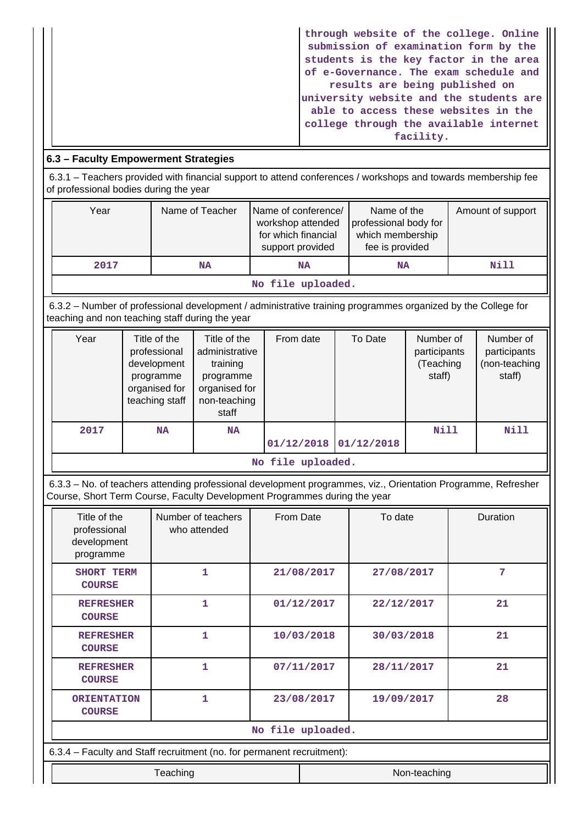| through website of the college. Online  |
|-----------------------------------------|
| submission of examination form by the   |
| students is the key factor in the area  |
| of e-Governance. The exam schedule and  |
| results are being published on          |
| university website and the students are |
| able to access these websites in the    |
| college through the available internet  |
| facility.                               |

## **6.3 – Faculty Empowerment Strategies**

 6.3.1 – Teachers provided with financial support to attend conferences / workshops and towards membership fee of professional bodies during the year

| Year              | Name of Teacher | Name of conference/<br>workshop attended<br>for which financial<br>support provided | Name of the<br>professional body for<br>which membership<br>fee is provided | Amount of support |  |  |  |  |
|-------------------|-----------------|-------------------------------------------------------------------------------------|-----------------------------------------------------------------------------|-------------------|--|--|--|--|
| 2017              | NA              | NA                                                                                  | <b>NA</b>                                                                   |                   |  |  |  |  |
| No file uploaded. |                 |                                                                                     |                                                                             |                   |  |  |  |  |

 6.3.2 – Number of professional development / administrative training programmes organized by the College for teaching and non teaching staff during the year

| Year              | Title of the<br>professional<br>development<br>programme<br>organised for<br>teaching staff | Title of the<br>administrative<br>training<br>programme<br>organised for<br>non-teaching<br>staff | From date  | To Date    | Number of<br>participants<br>(Teaching<br>staff) | Number of<br>participants<br>(non-teaching<br>staff) |  |  |  |  |
|-------------------|---------------------------------------------------------------------------------------------|---------------------------------------------------------------------------------------------------|------------|------------|--------------------------------------------------|------------------------------------------------------|--|--|--|--|
| 2017              | <b>NA</b>                                                                                   | NA                                                                                                | 01/12/2018 | 01/12/2018 | Nill                                             | <b>Nill</b>                                          |  |  |  |  |
| No file uploaded. |                                                                                             |                                                                                                   |            |            |                                                  |                                                      |  |  |  |  |

 6.3.3 – No. of teachers attending professional development programmes, viz., Orientation Programme, Refresher Course, Short Term Course, Faculty Development Programmes during the year

| Title of the<br>professional<br>development<br>programme | Number of teachers<br>who attended                                     | From Date |            | To date    | Duration |  |  |  |  |
|----------------------------------------------------------|------------------------------------------------------------------------|-----------|------------|------------|----------|--|--|--|--|
| SHORT TERM<br><b>COURSE</b>                              | 1                                                                      |           | 21/08/2017 | 27/08/2017 | 7        |  |  |  |  |
| <b>REFRESHER</b><br><b>COURSE</b>                        | 1                                                                      |           | 01/12/2017 | 22/12/2017 | 21       |  |  |  |  |
| <b>REFRESHER</b><br><b>COURSE</b>                        | $\mathbf{1}$                                                           |           | 10/03/2018 | 30/03/2018 | 21       |  |  |  |  |
| <b>REFRESHER</b><br><b>COURSE</b>                        | 1                                                                      |           | 07/11/2017 | 28/11/2017 | 21       |  |  |  |  |
| <b>ORIENTATION</b><br><b>COURSE</b>                      | 1                                                                      |           | 23/08/2017 | 19/09/2017 | 28       |  |  |  |  |
|                                                          | No file uploaded.                                                      |           |            |            |          |  |  |  |  |
|                                                          | 6.3.4 – Faculty and Staff recruitment (no. for permanent recruitment): |           |            |            |          |  |  |  |  |
| Teaching<br>Non-teaching                                 |                                                                        |           |            |            |          |  |  |  |  |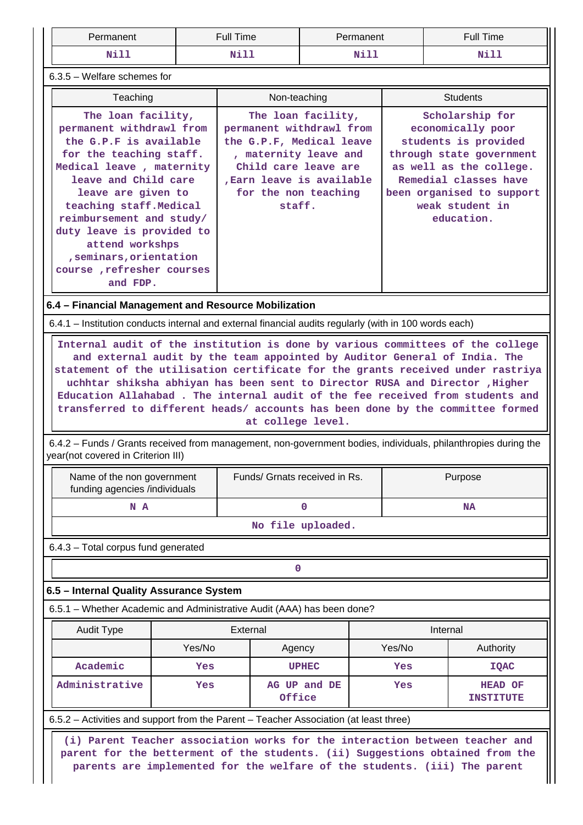| Permanent                                                                                                                                                                                                                                                                                                                                                                                                        |        | <b>Full Time</b>                                                                                                                                                   |                    | Permanent | <b>Full Time</b>                                                                                                                                                                                                                                                                                                                                                  |  |  |  |  |
|------------------------------------------------------------------------------------------------------------------------------------------------------------------------------------------------------------------------------------------------------------------------------------------------------------------------------------------------------------------------------------------------------------------|--------|--------------------------------------------------------------------------------------------------------------------------------------------------------------------|--------------------|-----------|-------------------------------------------------------------------------------------------------------------------------------------------------------------------------------------------------------------------------------------------------------------------------------------------------------------------------------------------------------------------|--|--|--|--|
| <b>Nill</b>                                                                                                                                                                                                                                                                                                                                                                                                      |        | Nill                                                                                                                                                               | <b>Nill</b>        |           | Nill                                                                                                                                                                                                                                                                                                                                                              |  |  |  |  |
| $6.3.5$ – Welfare schemes for                                                                                                                                                                                                                                                                                                                                                                                    |        |                                                                                                                                                                    |                    |           |                                                                                                                                                                                                                                                                                                                                                                   |  |  |  |  |
| Teaching                                                                                                                                                                                                                                                                                                                                                                                                         |        | Non-teaching                                                                                                                                                       |                    |           | <b>Students</b>                                                                                                                                                                                                                                                                                                                                                   |  |  |  |  |
| The loan facility,<br>permanent withdrawl from<br>the G.P.F is available<br>for the teaching staff.<br>Medical leave, maternity<br>leave and Child care<br>leave are given to<br>teaching staff. Medical<br>reimbursement and study/<br>duty leave is provided to<br>attend workshps<br>, seminars, orientation<br>course, refresher courses<br>and FDP.<br>6.4 - Financial Management and Resource Mobilization |        | permanent withdrawl from<br>the G.P.F, Medical leave<br>, maternity leave and<br>Child care leave are<br>Earn leave is available<br>for the non teaching<br>staff. | The loan facility, |           | Scholarship for<br>economically poor<br>students is provided<br>through state government<br>as well as the college.<br>Remedial classes have<br>been organised to support<br>weak student in<br>education.                                                                                                                                                        |  |  |  |  |
| 6.4.1 – Institution conducts internal and external financial audits regularly (with in 100 words each)                                                                                                                                                                                                                                                                                                           |        |                                                                                                                                                                    |                    |           |                                                                                                                                                                                                                                                                                                                                                                   |  |  |  |  |
| year(not covered in Criterion III)                                                                                                                                                                                                                                                                                                                                                                               |        | at college level.                                                                                                                                                  |                    |           | uchhtar shiksha abhiyan has been sent to Director RUSA and Director , Higher<br>Education Allahabad. The internal audit of the fee received from students and<br>transferred to different heads/ accounts has been done by the committee formed<br>6.4.2 – Funds / Grants received from management, non-government bodies, individuals, philanthropies during the |  |  |  |  |
| Name of the non government<br>funding agencies /individuals                                                                                                                                                                                                                                                                                                                                                      |        | Funds/ Grnats received in Rs.                                                                                                                                      |                    |           | Purpose                                                                                                                                                                                                                                                                                                                                                           |  |  |  |  |
| N A                                                                                                                                                                                                                                                                                                                                                                                                              |        | 0                                                                                                                                                                  |                    |           | <b>NA</b>                                                                                                                                                                                                                                                                                                                                                         |  |  |  |  |
|                                                                                                                                                                                                                                                                                                                                                                                                                  |        |                                                                                                                                                                    | No file uploaded.  |           |                                                                                                                                                                                                                                                                                                                                                                   |  |  |  |  |
| 6.4.3 - Total corpus fund generated                                                                                                                                                                                                                                                                                                                                                                              |        |                                                                                                                                                                    |                    |           |                                                                                                                                                                                                                                                                                                                                                                   |  |  |  |  |
|                                                                                                                                                                                                                                                                                                                                                                                                                  |        | $\mathbf 0$                                                                                                                                                        |                    |           |                                                                                                                                                                                                                                                                                                                                                                   |  |  |  |  |
| 6.5 - Internal Quality Assurance System                                                                                                                                                                                                                                                                                                                                                                          |        |                                                                                                                                                                    |                    |           |                                                                                                                                                                                                                                                                                                                                                                   |  |  |  |  |
| 6.5.1 – Whether Academic and Administrative Audit (AAA) has been done?                                                                                                                                                                                                                                                                                                                                           |        |                                                                                                                                                                    |                    |           |                                                                                                                                                                                                                                                                                                                                                                   |  |  |  |  |
| <b>Audit Type</b>                                                                                                                                                                                                                                                                                                                                                                                                |        | External                                                                                                                                                           |                    |           | Internal                                                                                                                                                                                                                                                                                                                                                          |  |  |  |  |
|                                                                                                                                                                                                                                                                                                                                                                                                                  | Yes/No | Agency                                                                                                                                                             |                    | Yes/No    | Authority                                                                                                                                                                                                                                                                                                                                                         |  |  |  |  |
| Academic                                                                                                                                                                                                                                                                                                                                                                                                         | Yes    |                                                                                                                                                                    | <b>UPHEC</b>       | Yes       | <b>IQAC</b>                                                                                                                                                                                                                                                                                                                                                       |  |  |  |  |
| Administrative<br>Yes                                                                                                                                                                                                                                                                                                                                                                                            |        | Office                                                                                                                                                             | AG UP and DE       | Yes       | <b>HEAD OF</b><br><b>INSTITUTE</b>                                                                                                                                                                                                                                                                                                                                |  |  |  |  |
|                                                                                                                                                                                                                                                                                                                                                                                                                  |        |                                                                                                                                                                    |                    |           |                                                                                                                                                                                                                                                                                                                                                                   |  |  |  |  |
| 6.5.2 – Activities and support from the Parent – Teacher Association (at least three)<br>(i) Parent Teacher association works for the interaction between teacher and<br>parent for the betterment of the students. (ii) Suggestions obtained from the<br>parents are implemented for the welfare of the students. (iii) The parent                                                                              |        |                                                                                                                                                                    |                    |           |                                                                                                                                                                                                                                                                                                                                                                   |  |  |  |  |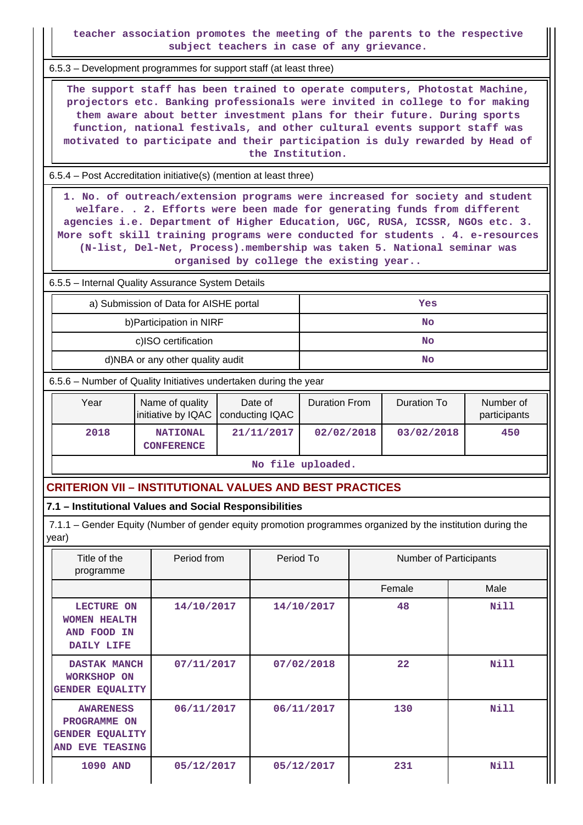**teacher association promotes the meeting of the parents to the respective subject teachers in case of any grievance.**

6.5.3 – Development programmes for support staff (at least three)

 **The support staff has been trained to operate computers, Photostat Machine, projectors etc. Banking professionals were invited in college to for making them aware about better investment plans for their future. During sports function, national festivals, and other cultural events support staff was motivated to participate and their participation is duly rewarded by Head of the Institution.**

6.5.4 – Post Accreditation initiative(s) (mention at least three)

 **1. No. of outreach/extension programs were increased for society and student welfare. . 2. Efforts were been made for generating funds from different agencies i.e. Department of Higher Education, UGC, RUSA, ICSSR, NGOs etc. 3. More soft skill training programs were conducted for students . 4. e-resources (N-list, Del-Net, Process).membership was taken 5. National seminar was organised by college the existing year..**

6.5.5 – Internal Quality Assurance System Details

| a) Submission of Data for AISHE portal | Yes |
|----------------------------------------|-----|
| b) Participation in NIRF               | No  |
| c)ISO certification                    | No  |
| d)NBA or any other quality audit       | No  |

6.5.6 – Number of Quality Initiatives undertaken during the year

| Year | Name of quality                      | Date of<br>initiative by IQAC   conducting IQAC | <b>Duration From</b> | Duration To | Number of<br>participants |
|------|--------------------------------------|-------------------------------------------------|----------------------|-------------|---------------------------|
| 2018 | <b>NATIONAL</b><br><b>CONFERENCE</b> | 21/11/2017                                      | 02/02/2018           | 03/02/2018  | 450                       |

**No file uploaded.**

## **CRITERION VII – INSTITUTIONAL VALUES AND BEST PRACTICES**

## **7.1 – Institutional Values and Social Responsibilities**

 7.1.1 – Gender Equity (Number of gender equity promotion programmes organized by the institution during the year)

| Title of the<br>programme                                                     | Period from | Period To  | <b>Number of Participants</b> |      |
|-------------------------------------------------------------------------------|-------------|------------|-------------------------------|------|
|                                                                               |             |            | Female                        | Male |
| <b>LECTURE ON</b><br><b>WOMEN HEALTH</b><br>AND FOOD IN<br>DAILY LIFE         | 14/10/2017  | 14/10/2017 | 48                            | Nill |
| <b>DASTAK MANCH</b><br><b>WORKSHOP ON</b><br><b>GENDER EQUALITY</b>           | 07/11/2017  | 07/02/2018 | 22                            | Nill |
| <b>AWARENESS</b><br>PROGRAMME ON<br><b>GENDER EQUALITY</b><br>AND EVE TEASING | 06/11/2017  | 06/11/2017 | 130                           | Nill |
| <b>1090 AND</b>                                                               | 05/12/2017  | 05/12/2017 | 231                           | Nill |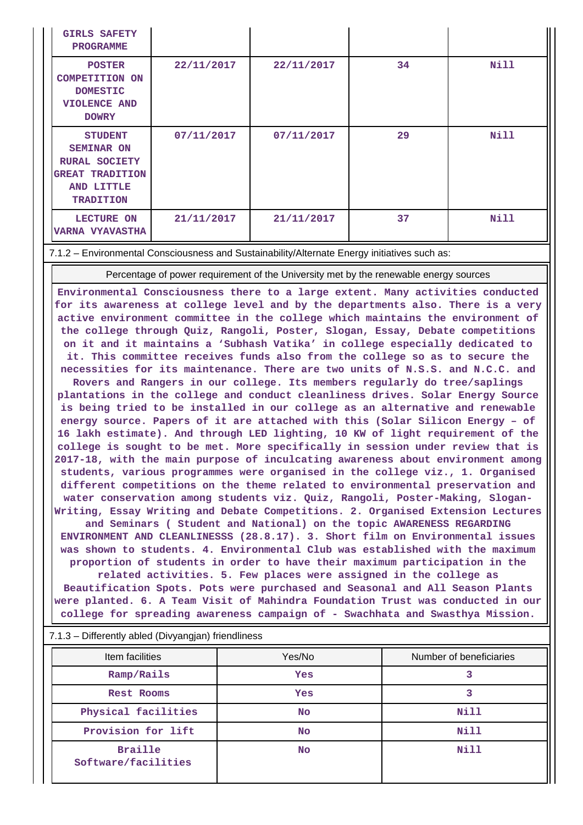| <b>GIRLS SAFETY</b><br><b>PROGRAMME</b>                                                                                 |            |            |    |      |
|-------------------------------------------------------------------------------------------------------------------------|------------|------------|----|------|
| <b>POSTER</b><br><b>COMPETITION ON</b><br><b>DOMESTIC</b><br><b>VIOLENCE AND</b><br><b>DOWRY</b>                        | 22/11/2017 | 22/11/2017 | 34 | Nill |
| <b>STUDENT</b><br><b>SEMINAR ON</b><br><b>RURAL SOCIETY</b><br><b>GREAT TRADITION</b><br>AND LITTLE<br><b>TRADITION</b> | 07/11/2017 | 07/11/2017 | 29 | Nill |
| <b>LECTURE ON</b><br><b>VARNA VYAVASTHA</b>                                                                             | 21/11/2017 | 21/11/2017 | 37 | Nill |

#### 7.1.2 – Environmental Consciousness and Sustainability/Alternate Energy initiatives such as:

Percentage of power requirement of the University met by the renewable energy sources

**Environmental Consciousness there to a large extent. Many activities conducted for its awareness at college level and by the departments also. There is a very active environment committee in the college which maintains the environment of the college through Quiz, Rangoli, Poster, Slogan, Essay, Debate competitions on it and it maintains a 'Subhash Vatika' in college especially dedicated to it. This committee receives funds also from the college so as to secure the necessities for its maintenance. There are two units of N.S.S. and N.C.C. and Rovers and Rangers in our college. Its members regularly do tree/saplings plantations in the college and conduct cleanliness drives. Solar Energy Source is being tried to be installed in our college as an alternative and renewable energy source. Papers of it are attached with this (Solar Silicon Energy – of 16 lakh estimate). And through LED lighting, 10 KW of light requirement of the college is sought to be met. More specifically in session under review that is 2017-18, with the main purpose of inculcating awareness about environment among students, various programmes were organised in the college viz., 1. Organised different competitions on the theme related to environmental preservation and water conservation among students viz. Quiz, Rangoli, Poster-Making, Slogan-Writing, Essay Writing and Debate Competitions. 2. Organised Extension Lectures and Seminars ( Student and National) on the topic AWARENESS REGARDING ENVIRONMENT AND CLEANLINESSS (28.8.17). 3. Short film on Environmental issues was shown to students. 4. Environmental Club was established with the maximum proportion of students in order to have their maximum participation in the related activities. 5. Few places were assigned in the college as Beautification Spots. Pots were purchased and Seasonal and All Season Plants were planted. 6. A Team Visit of Mahindra Foundation Trust was conducted in our college for spreading awareness campaign of - Swachhata and Swasthya Mission.**

| Item facilities                       | Yes/No    | Number of beneficiaries |
|---------------------------------------|-----------|-------------------------|
| Ramp/Rails                            | Yes       |                         |
| Rest Rooms                            | Yes       |                         |
| Physical facilities                   | No.       | Nill                    |
| Provision for lift                    | No.       | Nill                    |
| <b>Braille</b><br>Software/facilities | <b>No</b> | <b>Nill</b>             |

7.1.3 – Differently abled (Divyangjan) friendliness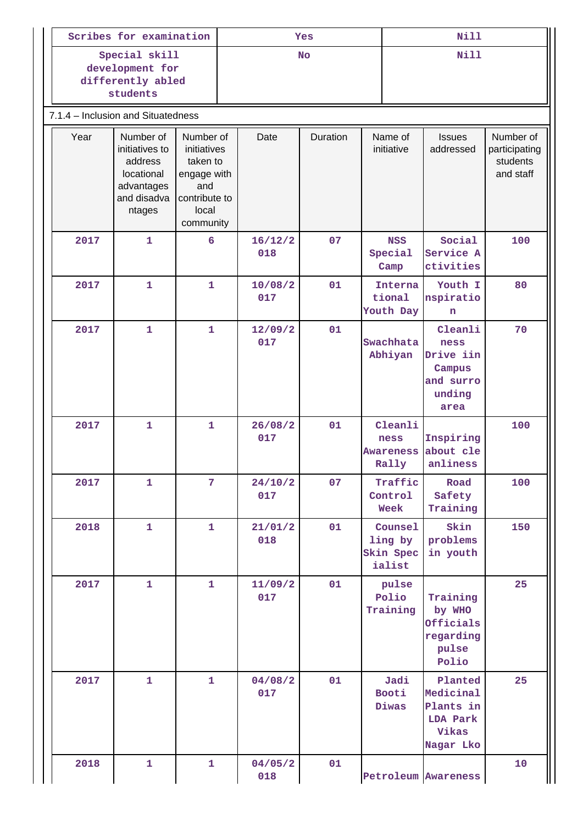| Scribes for examination            |                                                                                                                                                                                                  |                | Yes       |                |          |  | <b>Nill</b>                                  |                                                                       |                                                     |
|------------------------------------|--------------------------------------------------------------------------------------------------------------------------------------------------------------------------------------------------|----------------|-----------|----------------|----------|--|----------------------------------------------|-----------------------------------------------------------------------|-----------------------------------------------------|
|                                    | Special skill<br>development for<br>differently abled<br>students                                                                                                                                |                | <b>No</b> |                |          |  | <b>Nill</b>                                  |                                                                       |                                                     |
| 7.1.4 - Inclusion and Situatedness |                                                                                                                                                                                                  |                |           |                |          |  |                                              |                                                                       |                                                     |
| Year                               | Number of<br>Number of<br>initiatives to<br>initiatives<br>taken to<br>address<br>locational<br>engage with<br>advantages<br>and<br>and disadva<br>contribute to<br>local<br>ntages<br>community |                |           | Date           | Duration |  | Name of<br>initiative                        | <b>Issues</b><br>addressed                                            | Number of<br>participating<br>students<br>and staff |
| 2017                               | 1                                                                                                                                                                                                | 6              |           | 16/12/2<br>018 | 07       |  | <b>NSS</b><br>Special<br>Camp                | Social<br>Service A<br>ctivities                                      | 100                                                 |
| 2017                               | $\mathbf{1}$                                                                                                                                                                                     | $\mathbf{1}$   |           | 10/08/2<br>017 | 01       |  | Interna<br>tional<br>Youth Day               | Youth I<br>nspiratio<br>n                                             | 80                                                  |
| 2017                               | 1                                                                                                                                                                                                | $\mathbf{1}$   |           | 12/09/2<br>017 | 01       |  | Swachhata<br>Abhiyan                         | Cleanli<br>ness<br>Drive iin<br>Campus<br>and surro<br>unding<br>area | 70                                                  |
| 2017                               | $\mathbf{1}$                                                                                                                                                                                     | $\mathbf{1}$   |           | 26/08/2<br>017 | 01       |  | Cleanli<br>ness<br><b>Awareness</b><br>Rally | Inspiring<br>about cle<br>anliness                                    | 100                                                 |
| 2017                               | $\mathbf{1}$                                                                                                                                                                                     | $\overline{7}$ |           | 24/10/2<br>017 | 07       |  | Traffic<br>Control<br>Week                   | Road<br>Safety<br>Training                                            | 100                                                 |
| 2018                               | $\mathbf{1}$                                                                                                                                                                                     | $\mathbf{1}$   |           | 21/01/2<br>018 | 01       |  | Counsel<br>ling by<br>Skin Spec<br>ialist    | Skin<br>problems<br>in youth                                          | 150                                                 |
| 2017                               | $\mathbf{1}$                                                                                                                                                                                     | $\mathbf{1}$   |           | 11/09/2<br>017 | 01       |  | pulse<br>Polio<br>Training                   | Training<br>by WHO<br>Officials<br>regarding<br>pulse<br>Polio        | 25                                                  |
| 2017                               | $\mathbf{1}$                                                                                                                                                                                     | $\mathbf{1}$   |           | 04/08/2<br>017 | 01       |  | Jadi<br>Booti<br>Diwas                       | Planted<br>Medicinal<br>Plants in<br>LDA Park<br>Vikas<br>Nagar Lko   | 25                                                  |
| 2018                               | $\mathbf{1}$                                                                                                                                                                                     | $\mathbf{1}$   |           | 04/05/2<br>018 | 01       |  |                                              | Petroleum Awareness                                                   | 10                                                  |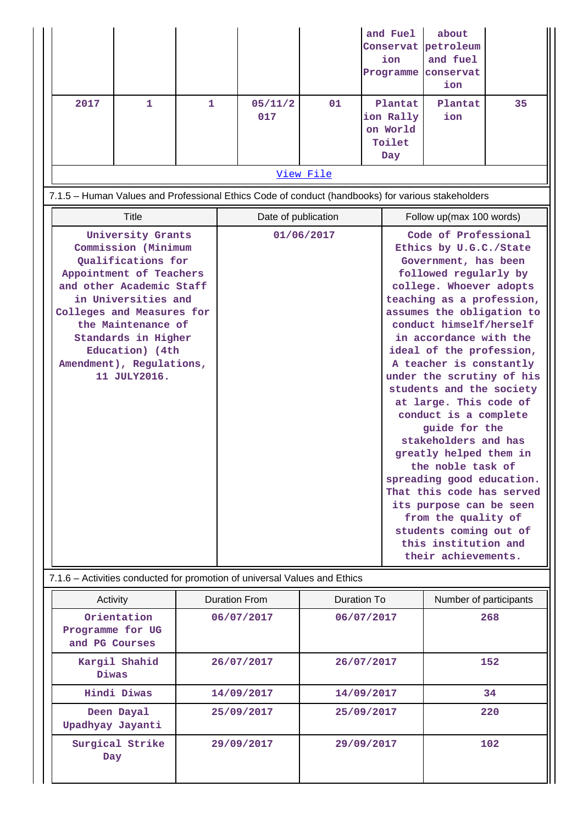|                                                                                                                                                                                                                                                                                       |              |   |  |                                                                           |             | and Fuel<br>ion<br>Programme                      | about<br>Conservat petroleum<br>and fuel<br>conservat<br>ion                                                                                                                                                                                                                                                                                                                                                                                                                                                                                                                                                                                                                              |    |
|---------------------------------------------------------------------------------------------------------------------------------------------------------------------------------------------------------------------------------------------------------------------------------------|--------------|---|--|---------------------------------------------------------------------------|-------------|---------------------------------------------------|-------------------------------------------------------------------------------------------------------------------------------------------------------------------------------------------------------------------------------------------------------------------------------------------------------------------------------------------------------------------------------------------------------------------------------------------------------------------------------------------------------------------------------------------------------------------------------------------------------------------------------------------------------------------------------------------|----|
| 2017                                                                                                                                                                                                                                                                                  | 1            | 1 |  | 05/11/2<br>017                                                            | 01          | Plantat<br>ion Rally<br>on World<br>Toilet<br>Day | Plantat<br>ion                                                                                                                                                                                                                                                                                                                                                                                                                                                                                                                                                                                                                                                                            | 35 |
|                                                                                                                                                                                                                                                                                       |              |   |  |                                                                           | View File   |                                                   |                                                                                                                                                                                                                                                                                                                                                                                                                                                                                                                                                                                                                                                                                           |    |
|                                                                                                                                                                                                                                                                                       |              |   |  |                                                                           |             |                                                   | 7.1.5 - Human Values and Professional Ethics Code of conduct (handbooks) for various stakeholders                                                                                                                                                                                                                                                                                                                                                                                                                                                                                                                                                                                         |    |
|                                                                                                                                                                                                                                                                                       | <b>Title</b> |   |  | Date of publication                                                       |             |                                                   | Follow up(max 100 words)                                                                                                                                                                                                                                                                                                                                                                                                                                                                                                                                                                                                                                                                  |    |
| University Grants<br>Commission (Minimum<br>Qualifications for<br>Appointment of Teachers<br>and other Academic Staff<br>in Universities and<br>Colleges and Measures for<br>the Maintenance of<br>Standards in Higher<br>Education) (4th<br>Amendment), Regulations,<br>11 JULY2016. |              |   |  |                                                                           | 01/06/2017  |                                                   | Code of Professional<br>Ethics by U.G.C./State<br>Government, has been<br>followed regularly by<br>college. Whoever adopts<br>teaching as a profession,<br>assumes the obligation to<br>conduct himself/herself<br>in accordance with the<br>ideal of the profession,<br>A teacher is constantly<br>under the scrutiny of his<br>students and the society<br>at large. This code of<br>conduct is a complete<br>guide for the<br>stakeholders and has<br>greatly helped them in<br>the noble task of<br>spreading good education.<br>That this code has served<br>its purpose can be seen<br>from the quality of<br>students coming out of<br>this institution and<br>their achievements. |    |
|                                                                                                                                                                                                                                                                                       |              |   |  | 7.1.6 - Activities conducted for promotion of universal Values and Ethics |             |                                                   |                                                                                                                                                                                                                                                                                                                                                                                                                                                                                                                                                                                                                                                                                           |    |
| Activity                                                                                                                                                                                                                                                                              |              |   |  | <b>Duration From</b>                                                      | Duration To |                                                   | Number of participants                                                                                                                                                                                                                                                                                                                                                                                                                                                                                                                                                                                                                                                                    |    |

| Activity                                          | <b>Duration From</b> | Duration To | Number of participants |
|---------------------------------------------------|----------------------|-------------|------------------------|
| Orientation<br>Programme for UG<br>and PG Courses | 06/07/2017           | 06/07/2017  | 268                    |
| Kargil Shahid<br>Diwas                            | 26/07/2017           | 26/07/2017  | 152                    |
| Hindi Diwas                                       | 14/09/2017           | 14/09/2017  | 34                     |
| Deen Dayal<br>Upadhyay Jayanti                    | 25/09/2017           | 25/09/2017  | 220                    |
| Surgical Strike<br>Day                            | 29/09/2017           | 29/09/2017  | 102                    |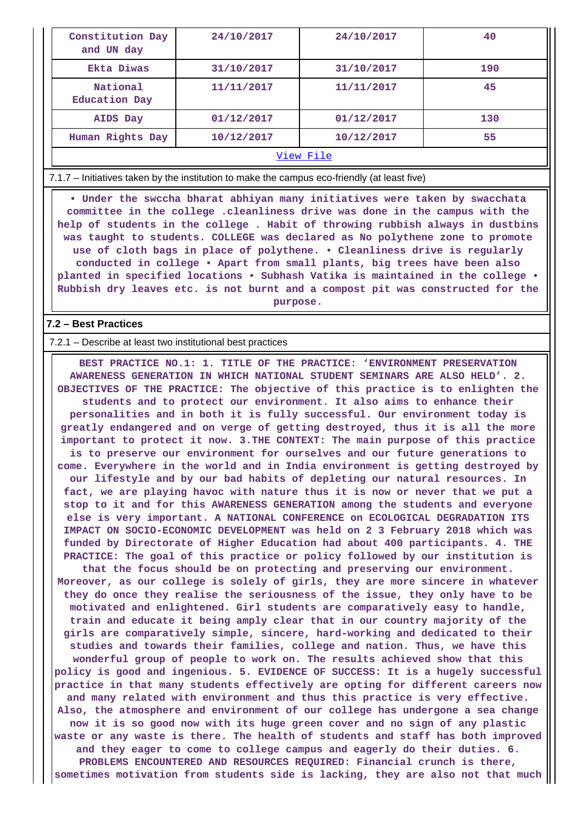| Constitution Day<br>and UN day   | 24/10/2017 | 24/10/2017 | 40  |  |
|----------------------------------|------------|------------|-----|--|
| Ekta Diwas                       | 31/10/2017 | 31/10/2017 | 190 |  |
| National<br><b>Education Day</b> | 11/11/2017 | 11/11/2017 | 45  |  |
| AIDS Day                         | 01/12/2017 | 01/12/2017 | 130 |  |
| Human Rights Day                 | 10/12/2017 | 10/12/2017 | 55  |  |
| View File                        |            |            |     |  |

7.1.7 – Initiatives taken by the institution to make the campus eco-friendly (at least five)

 **• Under the swccha bharat abhiyan many initiatives were taken by swacchata committee in the college .cleanliness drive was done in the campus with the help of students in the college . Habit of throwing rubbish always in dustbins was taught to students. COLLEGE was declared as No polythene zone to promote use of cloth bags in place of polythene. • Cleanliness drive is regularly conducted in college • Apart from small plants, big trees have been also planted in specified locations • Subhash Vatika is maintained in the college • Rubbish dry leaves etc. is not burnt and a compost pit was constructed for the purpose.**

### **7.2 – Best Practices**

#### 7.2.1 – Describe at least two institutional best practices

 **BEST PRACTICE NO.1: 1. TITLE OF THE PRACTICE: 'ENVIRONMENT PRESERVATION AWARENESS GENERATION IN WHICH NATIONAL STUDENT SEMINARS ARE ALSO HELD'. 2. OBJECTIVES OF THE PRACTICE: The objective of this practice is to enlighten the students and to protect our environment. It also aims to enhance their personalities and in both it is fully successful. Our environment today is greatly endangered and on verge of getting destroyed, thus it is all the more important to protect it now. 3.THE CONTEXT: The main purpose of this practice is to preserve our environment for ourselves and our future generations to come. Everywhere in the world and in India environment is getting destroyed by our lifestyle and by our bad habits of depleting our natural resources. In fact, we are playing havoc with nature thus it is now or never that we put a stop to it and for this AWARENESS GENERATION among the students and everyone else is very important. A NATIONAL CONFERENCE on ECOLOGICAL DEGRADATION ITS IMPACT ON SOCIO-ECONOMIC DEVELOPMENT was held on 2 3 February 2018 which was funded by Directorate of Higher Education had about 400 participants. 4. THE PRACTICE: The goal of this practice or policy followed by our institution is that the focus should be on protecting and preserving our environment. Moreover, as our college is solely of girls, they are more sincere in whatever they do once they realise the seriousness of the issue, they only have to be motivated and enlightened. Girl students are comparatively easy to handle, train and educate it being amply clear that in our country majority of the girls are comparatively simple, sincere, hard-working and dedicated to their studies and towards their families, college and nation. Thus, we have this wonderful group of people to work on. The results achieved show that this policy is good and ingenious. 5. EVIDENCE OF SUCCESS: It is a hugely successful practice in that many students effectively are opting for different careers now and many related with environment and thus this practice is very effective. Also, the atmosphere and environment of our college has undergone a sea change now it is so good now with its huge green cover and no sign of any plastic waste or any waste is there. The health of students and staff has both improved and they eager to come to college campus and eagerly do their duties. 6. PROBLEMS ENCOUNTERED AND RESOURCES REQUIRED: Financial crunch is there, sometimes motivation from students side is lacking, they are also not that much**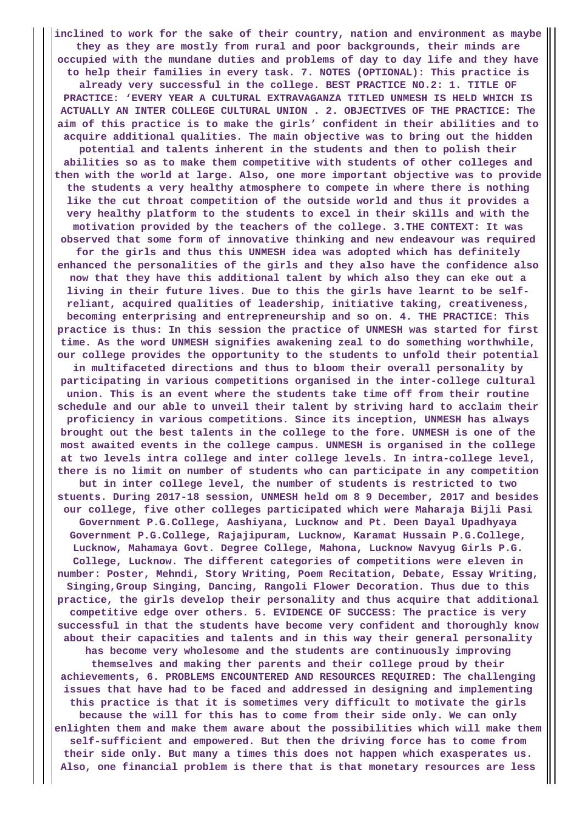**inclined to work for the sake of their country, nation and environment as maybe they as they are mostly from rural and poor backgrounds, their minds are occupied with the mundane duties and problems of day to day life and they have to help their families in every task. 7. NOTES (OPTIONAL): This practice is already very successful in the college. BEST PRACTICE NO.2: 1. TITLE OF PRACTICE: 'EVERY YEAR A CULTURAL EXTRAVAGANZA TITLED UNMESH IS HELD WHICH IS ACTUALLY AN INTER COLLEGE CULTURAL UNION . 2. OBJECTIVES OF THE PRACTICE: The aim of this practice is to make the girls' confident in their abilities and to acquire additional qualities. The main objective was to bring out the hidden potential and talents inherent in the students and then to polish their abilities so as to make them competitive with students of other colleges and then with the world at large. Also, one more important objective was to provide the students a very healthy atmosphere to compete in where there is nothing like the cut throat competition of the outside world and thus it provides a very healthy platform to the students to excel in their skills and with the motivation provided by the teachers of the college. 3.THE CONTEXT: It was observed that some form of innovative thinking and new endeavour was required for the girls and thus this UNMESH idea was adopted which has definitely enhanced the personalities of the girls and they also have the confidence also now that they have this additional talent by which also they can eke out a living in their future lives. Due to this the girls have learnt to be selfreliant, acquired qualities of leadership, initiative taking, creativeness, becoming enterprising and entrepreneurship and so on. 4. THE PRACTICE: This practice is thus: In this session the practice of UNMESH was started for first time. As the word UNMESH signifies awakening zeal to do something worthwhile, our college provides the opportunity to the students to unfold their potential in multifaceted directions and thus to bloom their overall personality by participating in various competitions organised in the inter-college cultural union. This is an event where the students take time off from their routine schedule and our able to unveil their talent by striving hard to acclaim their proficiency in various competitions. Since its inception, UNMESH has always brought out the best talents in the college to the fore. UNMESH is one of the most awaited events in the college campus. UNMESH is organised in the college at two levels intra college and inter college levels. In intra-college level, there is no limit on number of students who can participate in any competition but in inter college level, the number of students is restricted to two stuents. During 2017-18 session, UNMESH held om 8 9 December, 2017 and besides our college, five other colleges participated which were Maharaja Bijli Pasi Government P.G.College, Aashiyana, Lucknow and Pt. Deen Dayal Upadhyaya Government P.G.College, Rajajipuram, Lucknow, Karamat Hussain P.G.College, Lucknow, Mahamaya Govt. Degree College, Mahona, Lucknow Navyug Girls P.G. College, Lucknow. The different categories of competitions were eleven in number: Poster, Mehndi, Story Writing, Poem Recitation, Debate, Essay Writing, Singing,Group Singing, Dancing, Rangoli Flower Decoration. Thus due to this practice, the girls develop their personality and thus acquire that additional competitive edge over others. 5. EVIDENCE OF SUCCESS: The practice is very successful in that the students have become very confident and thoroughly know about their capacities and talents and in this way their general personality has become very wholesome and the students are continuously improving themselves and making ther parents and their college proud by their achievements, 6. PROBLEMS ENCOUNTERED AND RESOURCES REQUIRED: The challenging issues that have had to be faced and addressed in designing and implementing this practice is that it is sometimes very difficult to motivate the girls because the will for this has to come from their side only. We can only enlighten them and make them aware about the possibilities which will make them self-sufficient and empowered. But then the driving force has to come from their side only. But many a times this does not happen which exasperates us. Also, one financial problem is there that is that monetary resources are less**